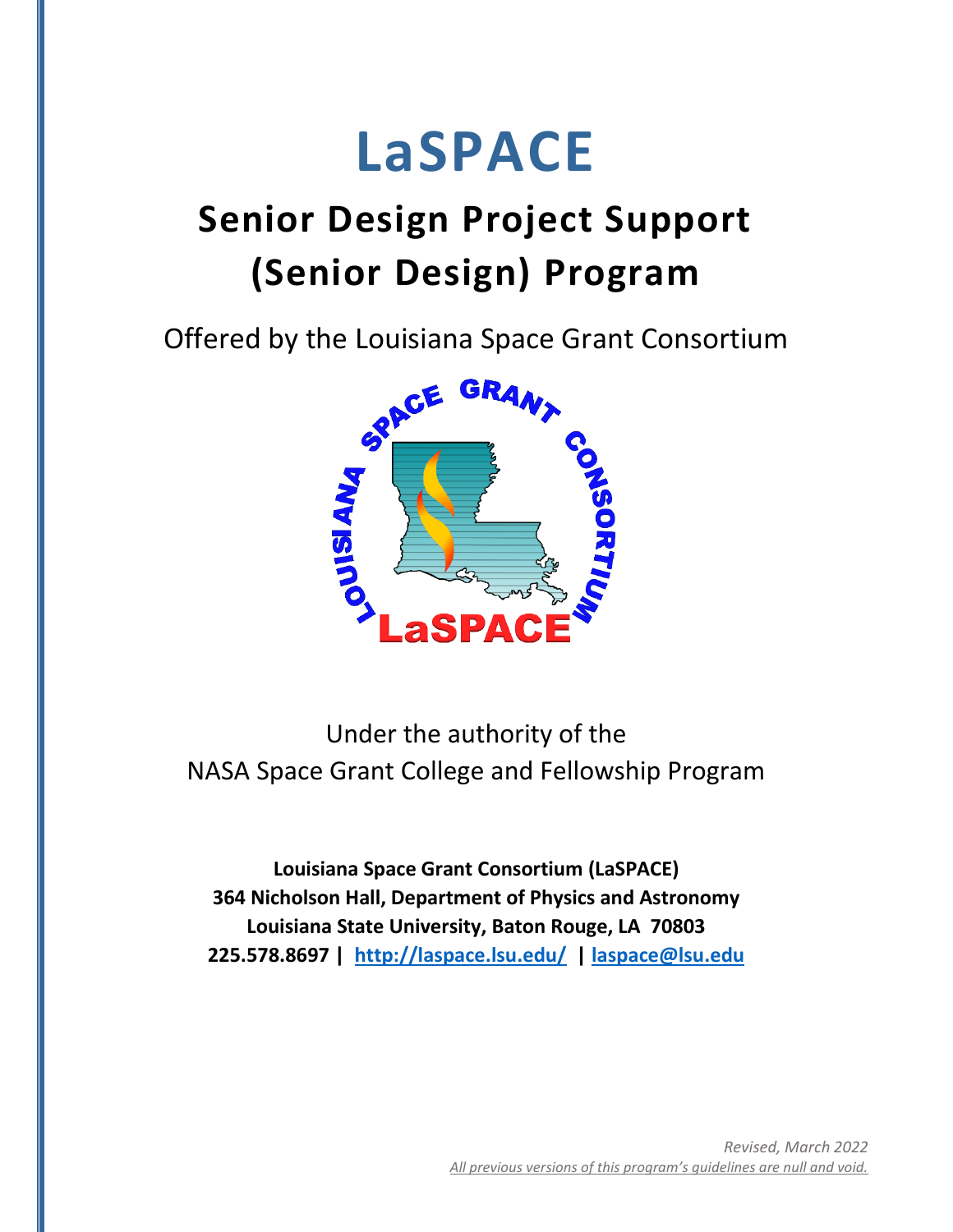# **LaSPACE**

# **Senior Design Project Support (Senior Design) Program**

Offered by the Louisiana Space Grant Consortium



Under the authority of the NASA Space Grant College and Fellowship Program

**Louisiana Space Grant Consortium (LaSPACE) 364 Nicholson Hall, Department of Physics and Astronomy Louisiana State University, Baton Rouge, LA 70803 225.578.8697 | <http://laspace.lsu.edu/>| [laspace@lsu.edu](mailto:laspace@lsu.edu)**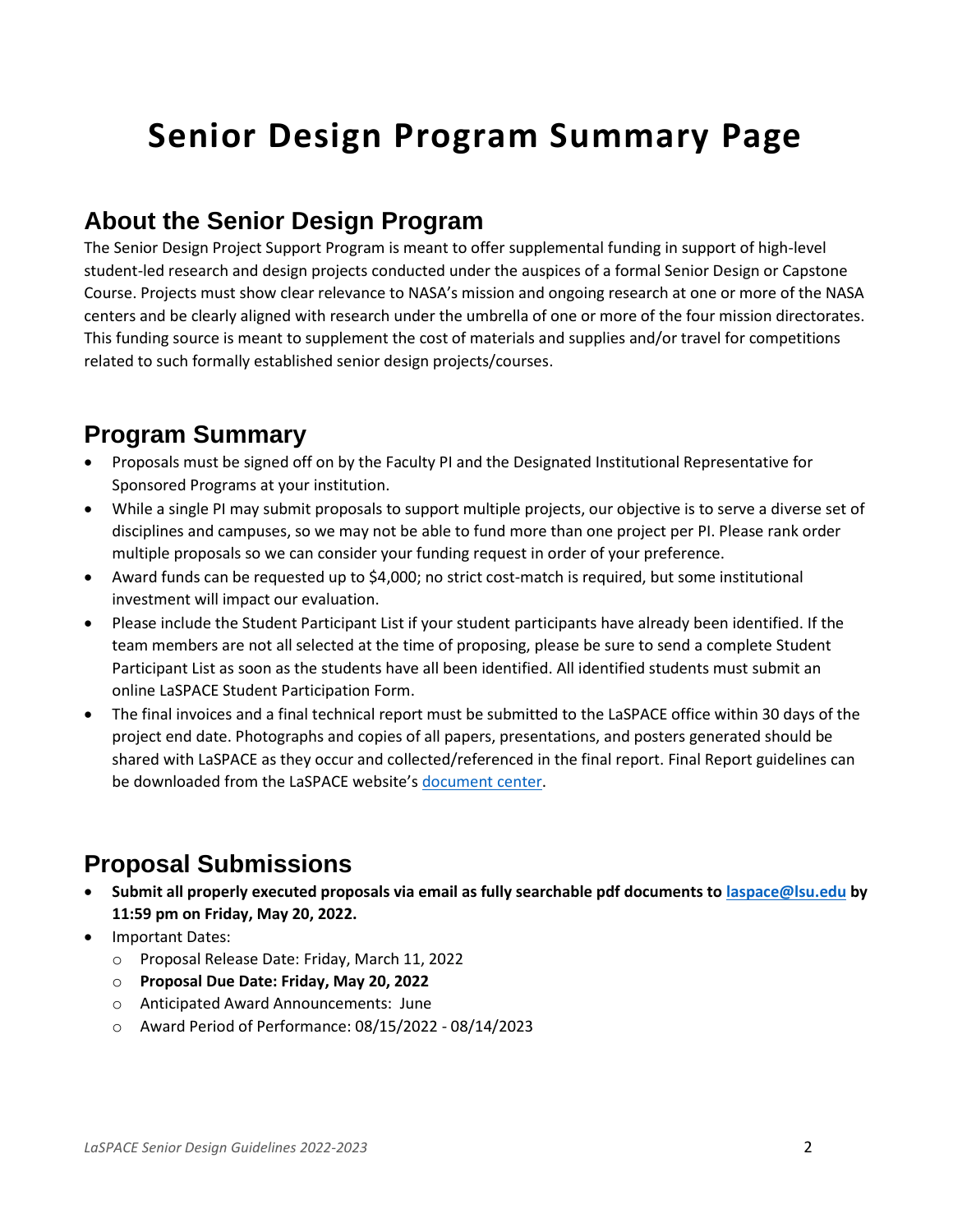# **Senior Design Program Summary Page**

#### **About the Senior Design Program**

The Senior Design Project Support Program is meant to offer supplemental funding in support of high-level student-led research and design projects conducted under the auspices of a formal Senior Design or Capstone Course. Projects must show clear relevance to NASA's mission and ongoing research at one or more of the NASA centers and be clearly aligned with research under the umbrella of one or more of the four mission directorates. This funding source is meant to supplement the cost of materials and supplies and/or travel for competitions related to such formally established senior design projects/courses.

#### **Program Summary**

- Proposals must be signed off on by the Faculty PI and the Designated Institutional Representative for Sponsored Programs at your institution.
- While a single PI may submit proposals to support multiple projects, our objective is to serve a diverse set of disciplines and campuses, so we may not be able to fund more than one project per PI. Please rank order multiple proposals so we can consider your funding request in order of your preference.
- Award funds can be requested up to \$4,000; no strict cost-match is required, but some institutional investment will impact our evaluation.
- Please include the Student Participant List if your student participants have already been identified. If the team members are not all selected at the time of proposing, please be sure to send a complete Student Participant List as soon as the students have all been identified. All identified students must submit an online LaSPACE Student Participation Form.
- The final invoices and a final technical report must be submitted to the LaSPACE office within 30 days of the project end date. Photographs and copies of all papers, presentations, and posters generated should be shared with LaSPACE as they occur and collected/referenced in the final report. Final Report guidelines can be downloaded from the LaSPACE website's [document center.](https://laspace.lsu.edu/laspace-document-center/)

#### **Proposal Submissions**

- **Submit all properly executed proposals via email as fully searchable pdf documents t[o laspace@lsu.edu](mailto:laspace@lsu.edu) by 11:59 pm on Friday, May 20, 2022.**
- Important Dates:
	- o Proposal Release Date: Friday, March 11, 2022
	- o **Proposal Due Date: Friday, May 20, 2022**
	- o Anticipated Award Announcements: June
	- o Award Period of Performance: 08/15/2022 08/14/2023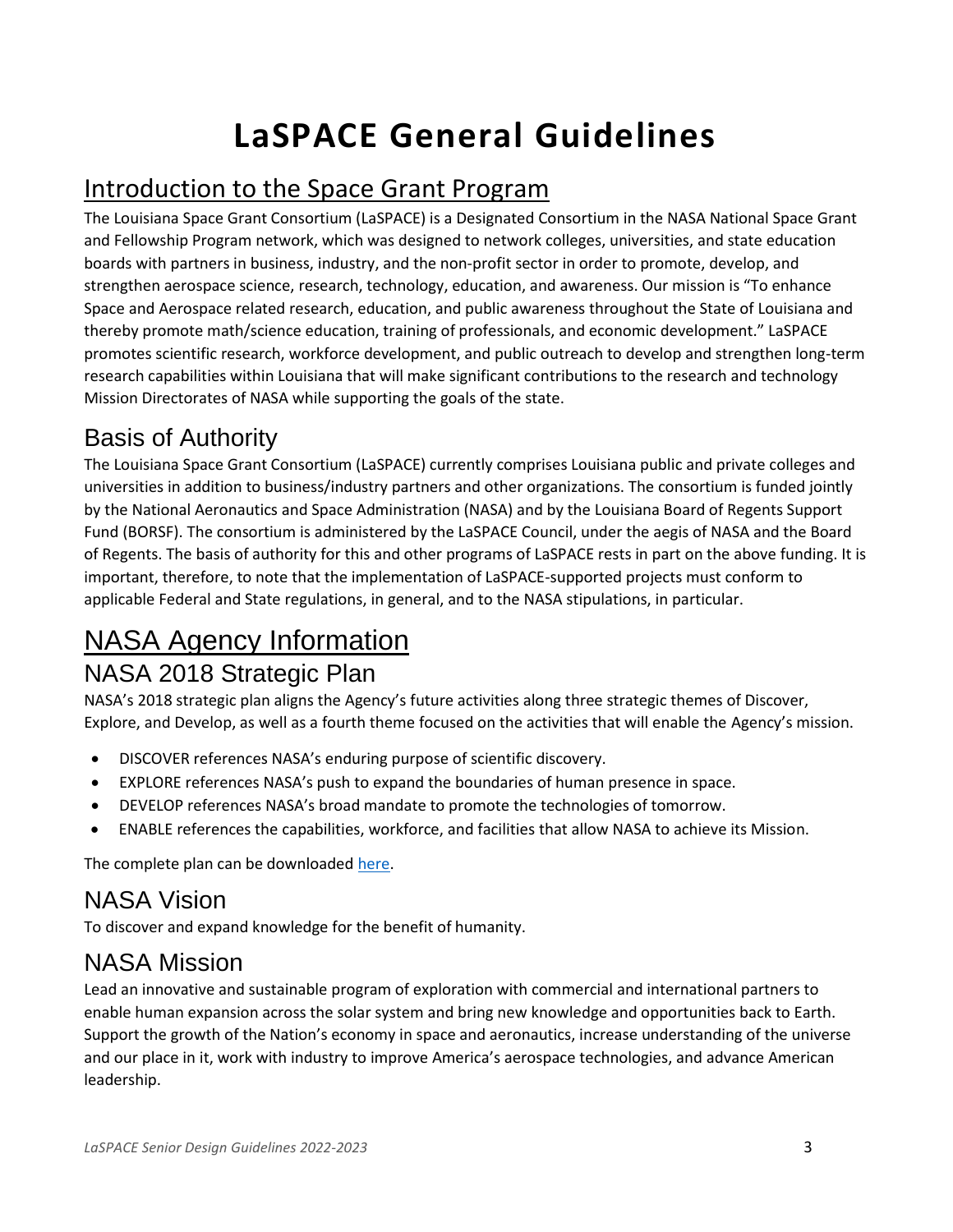# **LaSPACE General Guidelines**

## Introduction to the Space Grant Program

The Louisiana Space Grant Consortium (LaSPACE) is a Designated Consortium in the NASA National Space Grant and Fellowship Program network, which was designed to network colleges, universities, and state education boards with partners in business, industry, and the non-profit sector in order to promote, develop, and strengthen aerospace science, research, technology, education, and awareness. Our mission is "To enhance Space and Aerospace related research, education, and public awareness throughout the State of Louisiana and thereby promote math/science education, training of professionals, and economic development." LaSPACE promotes scientific research, workforce development, and public outreach to develop and strengthen long-term research capabilities within Louisiana that will make significant contributions to the research and technology Mission Directorates of NASA while supporting the goals of the state.

#### Basis of Authority

The Louisiana Space Grant Consortium (LaSPACE) currently comprises Louisiana public and private colleges and universities in addition to business/industry partners and other organizations. The consortium is funded jointly by the National Aeronautics and Space Administration (NASA) and by the Louisiana Board of Regents Support Fund (BORSF). The consortium is administered by the LaSPACE Council, under the aegis of NASA and the Board of Regents. The basis of authority for this and other programs of LaSPACE rests in part on the above funding. It is important, therefore, to note that the implementation of LaSPACE-supported projects must conform to applicable Federal and State regulations, in general, and to the NASA stipulations, in particular.

# NASA Agency Information

#### NASA 2018 Strategic Plan

NASA's 2018 strategic plan aligns the Agency's future activities along three strategic themes of Discover, Explore, and Develop, as well as a fourth theme focused on the activities that will enable the Agency's mission.

- DISCOVER references NASA's enduring purpose of scientific discovery.
- EXPLORE references NASA's push to expand the boundaries of human presence in space.
- DEVELOP references NASA's broad mandate to promote the technologies of tomorrow.
- ENABLE references the capabilities, workforce, and facilities that allow NASA to achieve its Mission.

The complete plan can be downloaded [here.](https://www.nasa.gov/sites/default/files/atoms/files/nasa_2018_strategic_plan.pdf)

#### NASA Vision

To discover and expand knowledge for the benefit of humanity.

#### NASA Mission

Lead an innovative and sustainable program of exploration with commercial and international partners to enable human expansion across the solar system and bring new knowledge and opportunities back to Earth. Support the growth of the Nation's economy in space and aeronautics, increase understanding of the universe and our place in it, work with industry to improve America's aerospace technologies, and advance American leadership.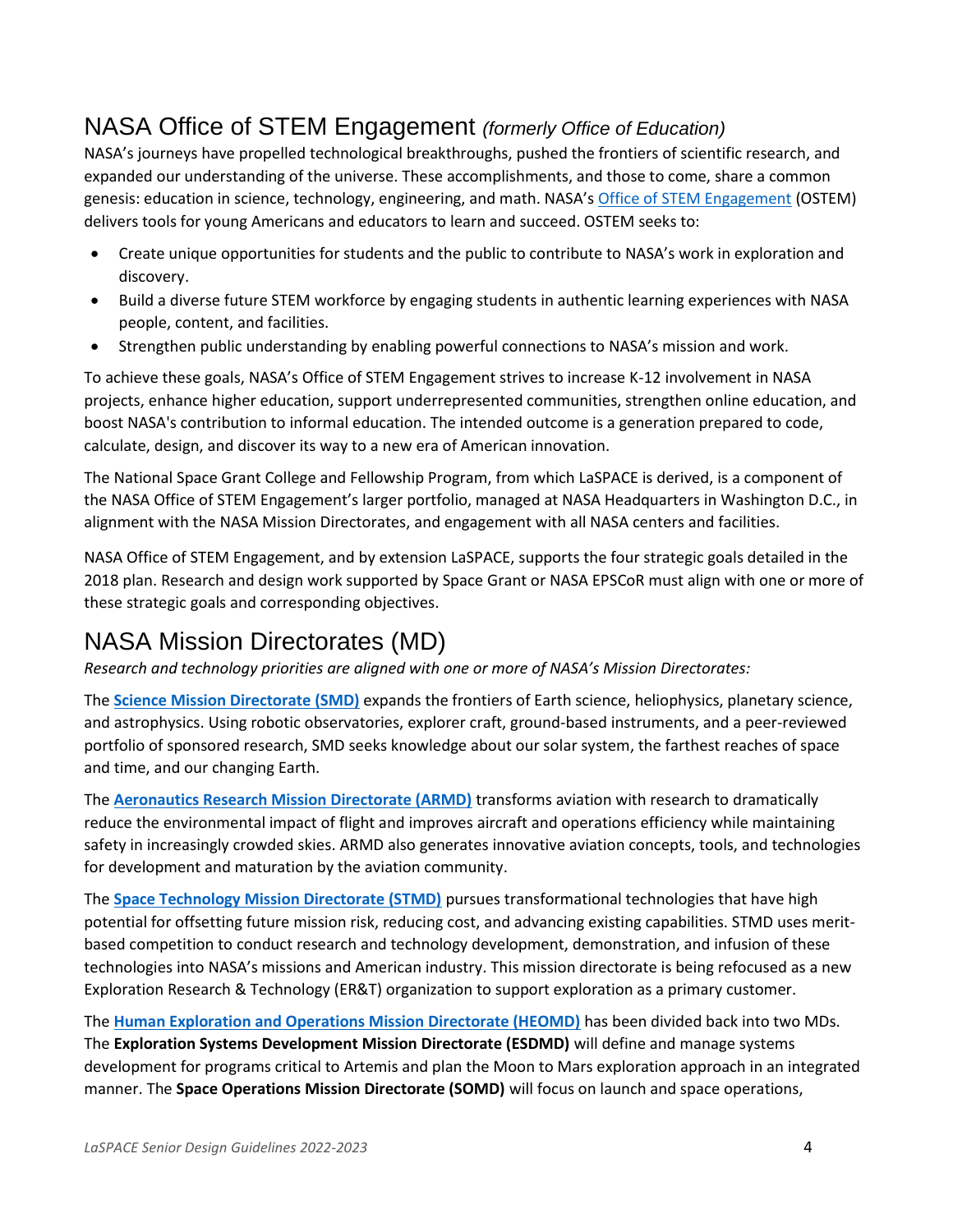#### NASA Office of STEM Engagement *(formerly Office of Education)*

NASA's journeys have propelled technological breakthroughs, pushed the frontiers of scientific research, and expanded our understanding of the universe. These accomplishments, and those to come, share a common genesis: education in science, technology, engineering, and math. NASA's [Office of STEM Engagement](https://www.nasa.gov/offices/education/about/index.html) (OSTEM) delivers tools for young Americans and educators to learn and succeed. OSTEM seeks to:

- Create unique opportunities for students and the public to contribute to NASA's work in exploration and discovery.
- Build a diverse future STEM workforce by engaging students in authentic learning experiences with NASA people, content, and facilities.
- Strengthen public understanding by enabling powerful connections to NASA's mission and work.

To achieve these goals, NASA's Office of STEM Engagement strives to increase K-12 involvement in NASA projects, enhance higher education, support underrepresented communities, strengthen online education, and boost NASA's contribution to informal education. The intended outcome is a generation prepared to code, calculate, design, and discover its way to a new era of American innovation.

The National Space Grant College and Fellowship Program, from which LaSPACE is derived, is a component of the NASA Office of STEM Engagement's larger portfolio, managed at NASA Headquarters in Washington D.C., in alignment with the NASA Mission Directorates, and engagement with all NASA centers and facilities.

NASA Office of STEM Engagement, and by extension LaSPACE, supports the four strategic goals detailed in the 2018 plan. Research and design work supported by Space Grant or NASA EPSCoR must align with one or more of these strategic goals and corresponding objectives.

## NASA Mission Directorates (MD)

*Research and technology priorities are aligned with one or more of NASA's Mission Directorates:*

The **[Science Mission Directorate \(SMD\)](https://science.nasa.gov/)** expands the frontiers of Earth science, heliophysics, planetary science, and astrophysics. Using robotic observatories, explorer craft, ground-based instruments, and a peer-reviewed portfolio of sponsored research, SMD seeks knowledge about our solar system, the farthest reaches of space and time, and our changing Earth.

The **[Aeronautics Research Mission Directorate \(ARMD\)](https://www.nasa.gov/aeroresearch)** transforms aviation with research to dramatically reduce the environmental impact of flight and improves aircraft and operations efficiency while maintaining safety in increasingly crowded skies. ARMD also generates innovative aviation concepts, tools, and technologies for development and maturation by the aviation community.

The **[Space Technology Mission Directorate \(STMD\)](https://www.nasa.gov/directorates/spacetech/home/index.html)** pursues transformational technologies that have high potential for offsetting future mission risk, reducing cost, and advancing existing capabilities. STMD uses meritbased competition to conduct research and technology development, demonstration, and infusion of these technologies into NASA's missions and American industry. This mission directorate is being refocused as a new Exploration Research & Technology (ER&T) organization to support exploration as a primary customer.

The **[Human Exploration and Operations Mission Directorate \(HEOMD\)](https://www.nasa.gov/directorates/heo/index.html)** has been divided back into two MDs. The **Exploration Systems Development Mission Directorate (ESDMD)** will define and manage systems development for programs critical to Artemis and plan the Moon to Mars exploration approach in an integrated manner. The **Space Operations Mission Directorate (SOMD)** will focus on launch and space operations,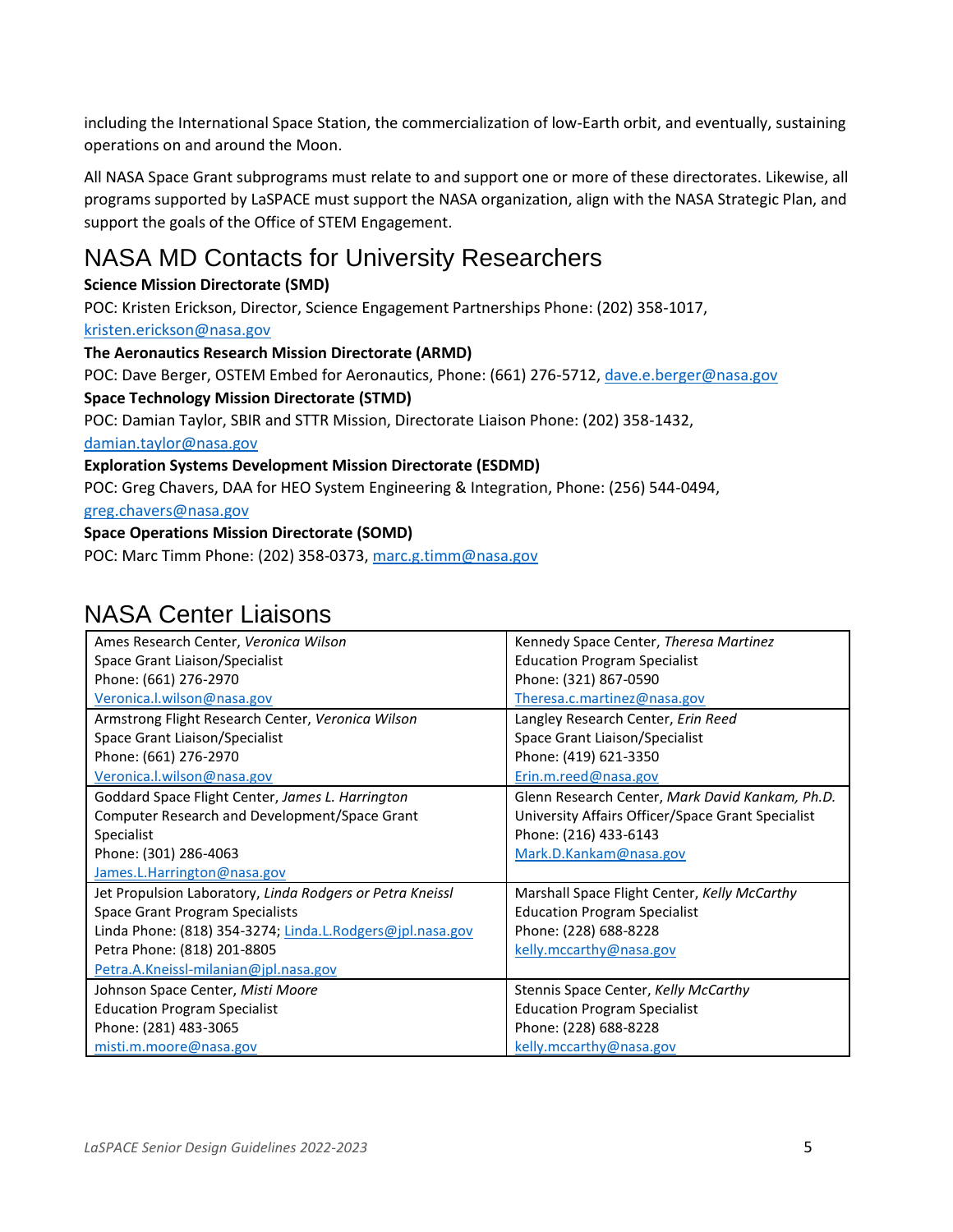including the International Space Station, the commercialization of low-Earth orbit, and eventually, sustaining operations on and around the Moon.

All NASA Space Grant subprograms must relate to and support one or more of these directorates. Likewise, all programs supported by LaSPACE must support the NASA organization, align with the NASA Strategic Plan, and support the goals of the Office of STEM Engagement.

### NASA MD Contacts for University Researchers

#### **Science Mission Directorate (SMD)**

POC: Kristen Erickson, Director, Science Engagement Partnerships Phone: (202) 358-1017,

#### [kristen.erickson@nasa.gov](mailto:kristen.erickson@nasa.gov)

#### **The Aeronautics Research Mission Directorate (ARMD)**

POC: Dave Berger, OSTEM Embed for Aeronautics, Phone: (661) 276-5712[, dave.e.berger@nasa.gov](mailto:dave.e.berger@nasa.gov)

#### **Space Technology Mission Directorate (STMD)**

POC: Damian Taylor, SBIR and STTR Mission, Directorate Liaison Phone: (202) 358-1432,

[damian.taylor@nasa.gov](mailto:damian.taylor@nasa.gov)

#### **Exploration Systems Development Mission Directorate (ESDMD)**

POC: Greg Chavers, DAA for HEO System Engineering & Integration, Phone: (256) 544-0494,

[greg.chavers@nasa.gov](mailto:greg.chavers@nasa.gov)

#### **Space Operations Mission Directorate (SOMD)**

POC: Marc Timm Phone: (202) 358-0373[, marc.g.timm@nasa.gov](mailto:marc.g.timm@nasa.gov)

#### NASA Center Liaisons

| Ames Research Center, Veronica Wilson                     | Kennedy Space Center, Theresa Martinez            |
|-----------------------------------------------------------|---------------------------------------------------|
| Space Grant Liaison/Specialist                            | <b>Education Program Specialist</b>               |
| Phone: (661) 276-2970                                     | Phone: (321) 867-0590                             |
| Veronica.l.wilson@nasa.gov                                | Theresa.c.martinez@nasa.gov                       |
| Armstrong Flight Research Center, Veronica Wilson         | Langley Research Center, Erin Reed                |
| Space Grant Liaison/Specialist                            | Space Grant Liaison/Specialist                    |
| Phone: (661) 276-2970                                     | Phone: (419) 621-3350                             |
| Veronica.l.wilson@nasa.gov                                | Erin.m.reed@nasa.gov                              |
| Goddard Space Flight Center, James L. Harrington          | Glenn Research Center, Mark David Kankam, Ph.D.   |
| Computer Research and Development/Space Grant             | University Affairs Officer/Space Grant Specialist |
| Specialist                                                | Phone: (216) 433-6143                             |
| Phone: (301) 286-4063                                     | Mark.D.Kankam@nasa.gov                            |
| James.L.Harrington@nasa.gov                               |                                                   |
| Jet Propulsion Laboratory, Linda Rodgers or Petra Kneissl | Marshall Space Flight Center, Kelly McCarthy      |
| Space Grant Program Specialists                           | <b>Education Program Specialist</b>               |
| Linda Phone: (818) 354-3274; Linda.L.Rodgers@jpl.nasa.gov | Phone: (228) 688-8228                             |
| Petra Phone: (818) 201-8805                               | kelly.mccarthy@nasa.gov                           |
| Petra.A.Kneissl-milanian@jpl.nasa.gov                     |                                                   |
| Johnson Space Center, Misti Moore                         | Stennis Space Center, Kelly McCarthy              |
| <b>Education Program Specialist</b>                       | <b>Education Program Specialist</b>               |
| Phone: (281) 483-3065                                     | Phone: (228) 688-8228                             |
| misti.m.moore@nasa.gov                                    | kelly.mccarthy@nasa.gov                           |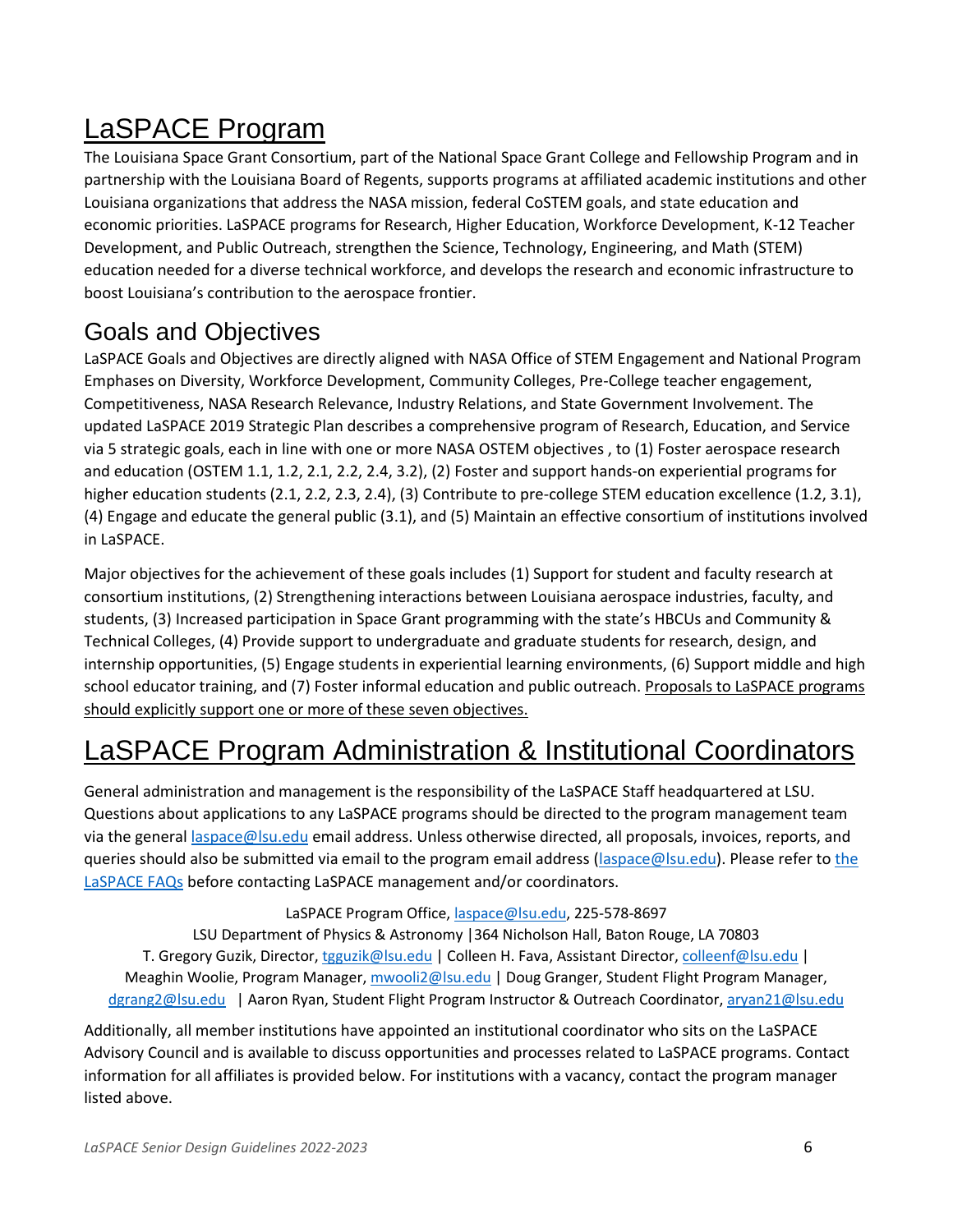# LaSPACE Program

The Louisiana Space Grant Consortium, part of the National Space Grant College and Fellowship Program and in partnership with the Louisiana Board of Regents, supports programs at affiliated academic institutions and other Louisiana organizations that address the NASA mission, federal CoSTEM goals, and state education and economic priorities. LaSPACE programs for Research, Higher Education, Workforce Development, K-12 Teacher Development, and Public Outreach, strengthen the Science, Technology, Engineering, and Math (STEM) education needed for a diverse technical workforce, and develops the research and economic infrastructure to boost Louisiana's contribution to the aerospace frontier.

#### Goals and Objectives

LaSPACE Goals and Objectives are directly aligned with NASA Office of STEM Engagement and National Program Emphases on Diversity, Workforce Development, Community Colleges, Pre-College teacher engagement, Competitiveness, NASA Research Relevance, Industry Relations, and State Government Involvement. The updated LaSPACE 2019 Strategic Plan describes a comprehensive program of Research, Education, and Service via 5 strategic goals, each in line with one or more NASA OSTEM objectives , to (1) Foster aerospace research and education (OSTEM 1.1, 1.2, 2.1, 2.2, 2.4, 3.2), (2) Foster and support hands-on experiential programs for higher education students (2.1, 2.2, 2.3, 2.4), (3) Contribute to pre-college STEM education excellence (1.2, 3.1), (4) Engage and educate the general public (3.1), and (5) Maintain an effective consortium of institutions involved in LaSPACE.

Major objectives for the achievement of these goals includes (1) Support for student and faculty research at consortium institutions, (2) Strengthening interactions between Louisiana aerospace industries, faculty, and students, (3) Increased participation in Space Grant programming with the state's HBCUs and Community & Technical Colleges, (4) Provide support to undergraduate and graduate students for research, design, and internship opportunities, (5) Engage students in experiential learning environments, (6) Support middle and high school educator training, and (7) Foster informal education and public outreach. Proposals to LaSPACE programs should explicitly support one or more of these seven objectives.

# LaSPACE Program Administration & Institutional Coordinators

General administration and management is the responsibility of the LaSPACE Staff headquartered at LSU. Questions about applications to any LaSPACE programs should be directed to the program management team via the genera[l laspace@lsu.edu](mailto:laspace@lsu.edu) email address. Unless otherwise directed, all proposals, invoices, reports, and queries should also be submitted via email to the program email address [\(laspace@lsu.edu\)](mailto:laspace@lsu.edu). Please refer to the [LaSPACE FAQs](https://laspace.lsu.edu/laspace-faqs/) before contacting LaSPACE management and/or coordinators.

LaSPACE Program Office, [laspace@lsu.edu,](mailto:laspace@lsu.edu) 225-578-8697

LSU Department of Physics & Astronomy |364 Nicholson Hall, Baton Rouge, LA 70803 T. Gregory Guzik, Director, *tgguzik@lsu.edu* | Colleen H. Fava, Assistant Director, [colleenf@lsu.edu](mailto:colleenf@lsu.edu) | Meaghin Woolie, Program Manager, [mwooli2@lsu.edu](mailto:mwooli2@lsu.edu) | Doug Granger, Student Flight Program Manager, [dgrang2@lsu.edu](mailto:dgrang2@lsu.edu) | Aaron Ryan, Student Flight Program Instructor & Outreach Coordinator, [aryan21@lsu.edu](mailto:aryan21@lsu.edu)

Additionally, all member institutions have appointed an institutional coordinator who sits on the LaSPACE Advisory Council and is available to discuss opportunities and processes related to LaSPACE programs. Contact information for all affiliates is provided below. For institutions with a vacancy, contact the program manager listed above.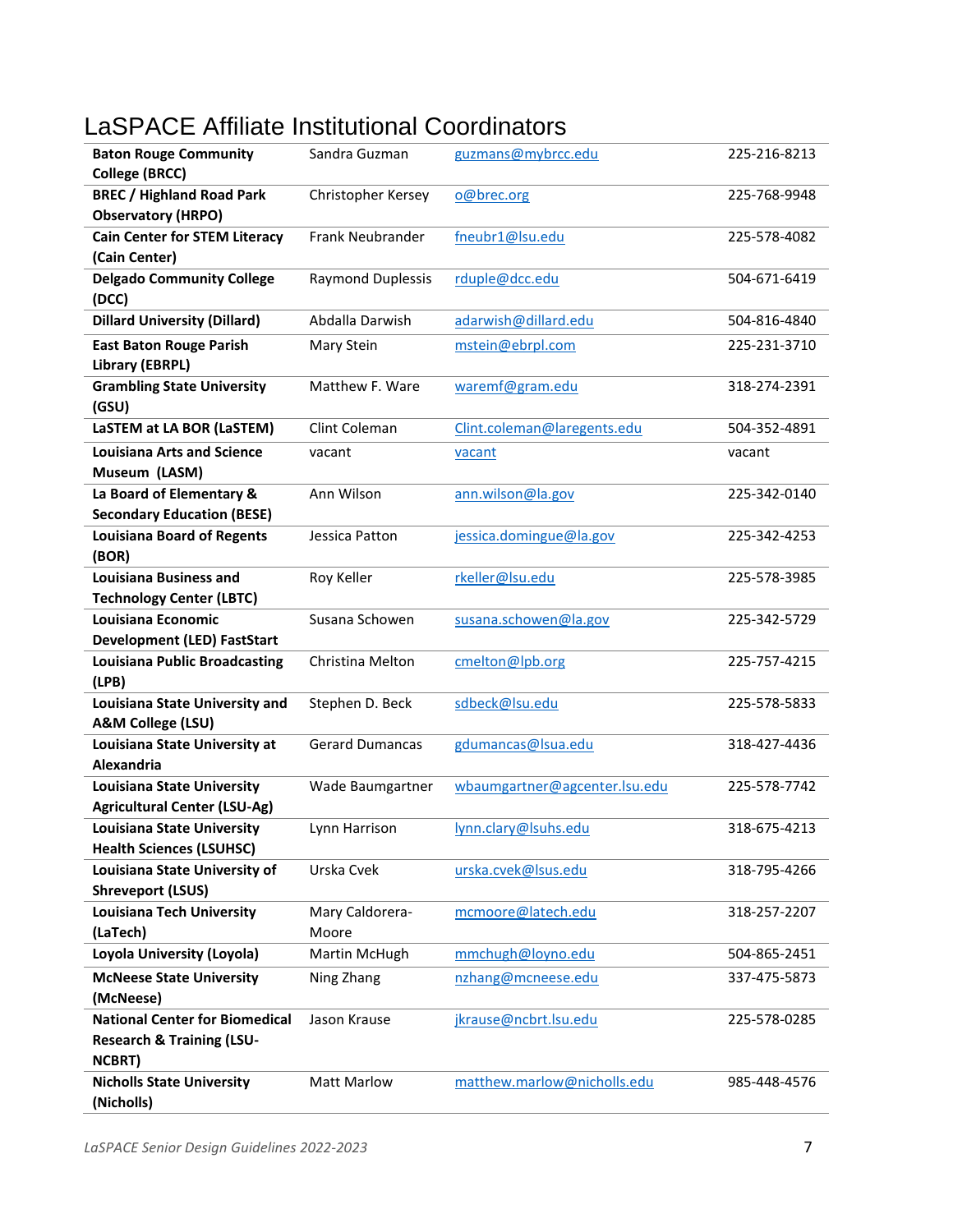# LaSPACE Affiliate Institutional Coordinators

| <b>Baton Rouge Community</b>          | Sandra Guzman            | guzmans@mybrcc.edu            | 225-216-8213 |
|---------------------------------------|--------------------------|-------------------------------|--------------|
| <b>College (BRCC)</b>                 |                          |                               |              |
| <b>BREC / Highland Road Park</b>      | Christopher Kersey       | o@brec.org                    | 225-768-9948 |
| <b>Observatory (HRPO)</b>             |                          |                               |              |
| <b>Cain Center for STEM Literacy</b>  | Frank Neubrander         | fneubr1@lsu.edu               | 225-578-4082 |
| (Cain Center)                         |                          |                               |              |
| <b>Delgado Community College</b>      | <b>Raymond Duplessis</b> | rduple@dcc.edu                | 504-671-6419 |
| (DCC)                                 |                          |                               |              |
| <b>Dillard University (Dillard)</b>   | Abdalla Darwish          | adarwish@dillard.edu          | 504-816-4840 |
| <b>East Baton Rouge Parish</b>        | Mary Stein               | mstein@ebrpl.com              | 225-231-3710 |
| Library (EBRPL)                       |                          |                               |              |
| <b>Grambling State University</b>     | Matthew F. Ware          | waremf@gram.edu               | 318-274-2391 |
| (GSU)                                 |                          |                               |              |
| LaSTEM at LA BOR (LaSTEM)             | Clint Coleman            | Clint.coleman@laregents.edu   | 504-352-4891 |
| <b>Louisiana Arts and Science</b>     | vacant                   | vacant                        | vacant       |
| Museum (LASM)                         |                          |                               |              |
| La Board of Elementary &              | Ann Wilson               | ann.wilson@la.gov             | 225-342-0140 |
| <b>Secondary Education (BESE)</b>     |                          |                               |              |
| <b>Louisiana Board of Regents</b>     | Jessica Patton           | jessica.domingue@la.gov       | 225-342-4253 |
| (BOR)                                 |                          |                               |              |
| <b>Louisiana Business and</b>         | Roy Keller               | rkeller@lsu.edu               | 225-578-3985 |
| <b>Technology Center (LBTC)</b>       |                          |                               |              |
| Louisiana Economic                    | Susana Schowen           | susana.schowen@la.gov         | 225-342-5729 |
| <b>Development (LED) FastStart</b>    |                          |                               |              |
| <b>Louisiana Public Broadcasting</b>  | Christina Melton         | cmelton@lpb.org               | 225-757-4215 |
| (LPB)                                 |                          |                               |              |
| Louisiana State University and        | Stephen D. Beck          | sdbeck@lsu.edu                | 225-578-5833 |
| A&M College (LSU)                     |                          |                               |              |
| Louisiana State University at         | <b>Gerard Dumancas</b>   | gdumancas@Isua.edu            | 318-427-4436 |
| Alexandria                            |                          |                               |              |
| <b>Louisiana State University</b>     | Wade Baumgartner         | wbaumgartner@agcenter.lsu.edu | 225-578-7742 |
| <b>Agricultural Center (LSU-Ag)</b>   |                          |                               |              |
| <b>Louisiana State University</b>     | Lynn Harrison            | lynn.clary@lsuhs.edu          | 318-675-4213 |
| <b>Health Sciences (LSUHSC)</b>       |                          |                               |              |
| Louisiana State University of         | Urska Cvek               | urska.cvek@lsus.edu           | 318-795-4266 |
| <b>Shreveport (LSUS)</b>              |                          |                               |              |
| <b>Louisiana Tech University</b>      | Mary Caldorera-          | mcmoore@latech.edu            | 318-257-2207 |
| (LaTech)                              | Moore                    |                               |              |
| Loyola University (Loyola)            | Martin McHugh            | mmchugh@loyno.edu             | 504-865-2451 |
| <b>McNeese State University</b>       | Ning Zhang               | nzhang@mcneese.edu            | 337-475-5873 |
| (McNeese)                             |                          |                               |              |
| <b>National Center for Biomedical</b> | Jason Krause             | jkrause@ncbrt.lsu.edu         | 225-578-0285 |
| <b>Research &amp; Training (LSU-</b>  |                          |                               |              |
| <b>NCBRT)</b>                         |                          |                               |              |
| <b>Nicholls State University</b>      | <b>Matt Marlow</b>       | matthew.marlow@nicholls.edu   | 985-448-4576 |
| (Nicholls)                            |                          |                               |              |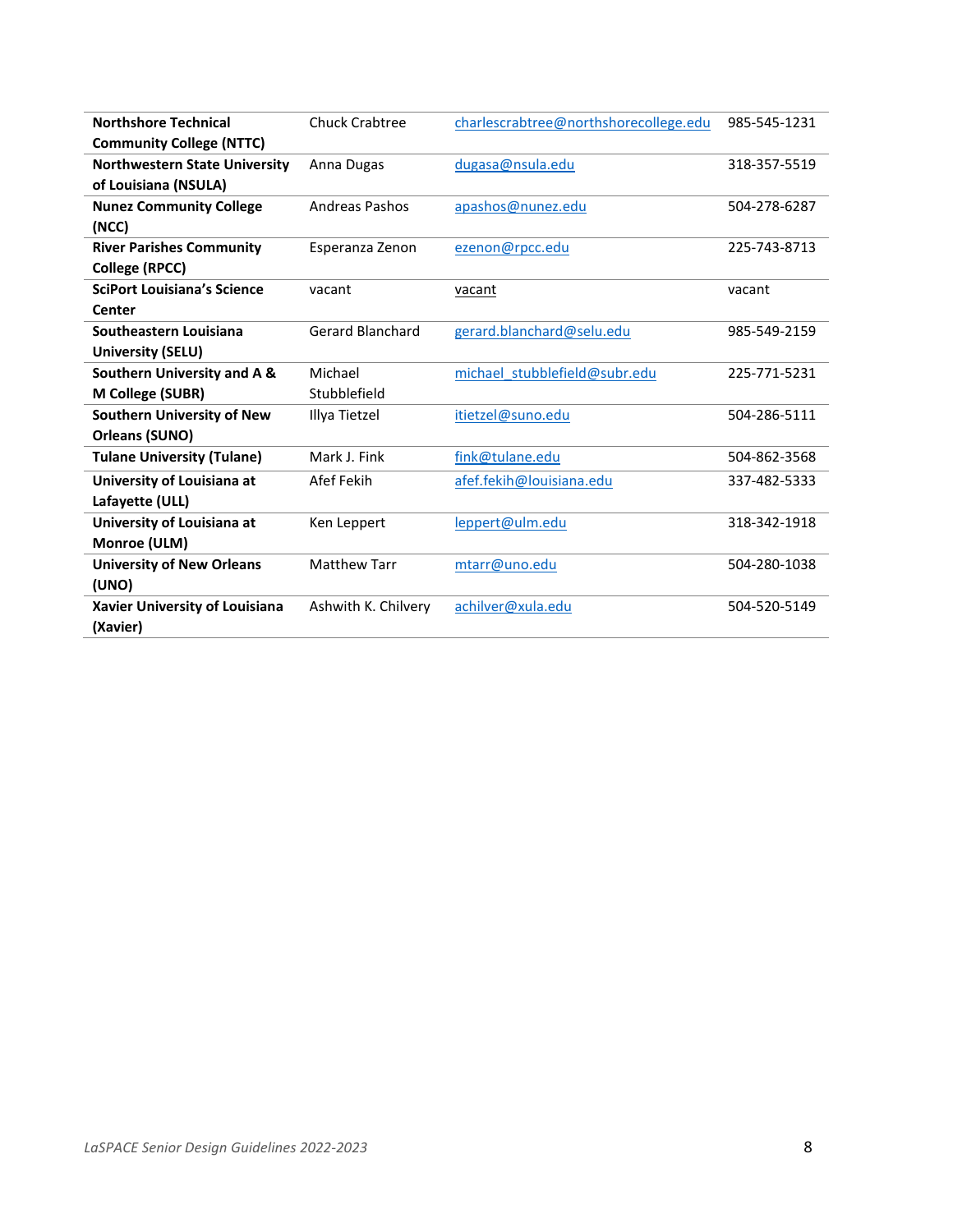| <b>Northshore Technical</b>           | <b>Chuck Crabtree</b>   | charlescrabtree@northshorecollege.edu | 985-545-1231 |
|---------------------------------------|-------------------------|---------------------------------------|--------------|
| <b>Community College (NTTC)</b>       |                         |                                       |              |
| <b>Northwestern State University</b>  | Anna Dugas              | dugasa@nsula.edu                      | 318-357-5519 |
| of Louisiana (NSULA)                  |                         |                                       |              |
| <b>Nunez Community College</b>        | <b>Andreas Pashos</b>   | apashos@nunez.edu                     | 504-278-6287 |
| (NCC)                                 |                         |                                       |              |
| <b>River Parishes Community</b>       | Esperanza Zenon         | ezenon@rpcc.edu                       | 225-743-8713 |
| <b>College (RPCC)</b>                 |                         |                                       |              |
| <b>SciPort Louisiana's Science</b>    | vacant                  | vacant                                | vacant       |
| Center                                |                         |                                       |              |
| Southeastern Louisiana                | <b>Gerard Blanchard</b> | gerard.blanchard@selu.edu             | 985-549-2159 |
| University (SELU)                     |                         |                                       |              |
| Southern University and A &           | Michael                 | michael stubblefield@subr.edu         | 225-771-5231 |
| M College (SUBR)                      | Stubblefield            |                                       |              |
| <b>Southern University of New</b>     | Illya Tietzel           | itietzel@suno.edu                     | 504-286-5111 |
| Orleans (SUNO)                        |                         |                                       |              |
| <b>Tulane University (Tulane)</b>     | Mark J. Fink            | fink@tulane.edu                       | 504-862-3568 |
| University of Louisiana at            | Afef Fekih              | afef.fekih@louisiana.edu              | 337-482-5333 |
| Lafayette (ULL)                       |                         |                                       |              |
| University of Louisiana at            | Ken Leppert             | leppert@ulm.edu                       | 318-342-1918 |
| Monroe (ULM)                          |                         |                                       |              |
| <b>University of New Orleans</b>      | <b>Matthew Tarr</b>     | mtarr@uno.edu                         | 504-280-1038 |
| (UNO)                                 |                         |                                       |              |
| <b>Xavier University of Louisiana</b> | Ashwith K. Chilvery     | achilver@xula.edu                     | 504-520-5149 |
| (Xavier)                              |                         |                                       |              |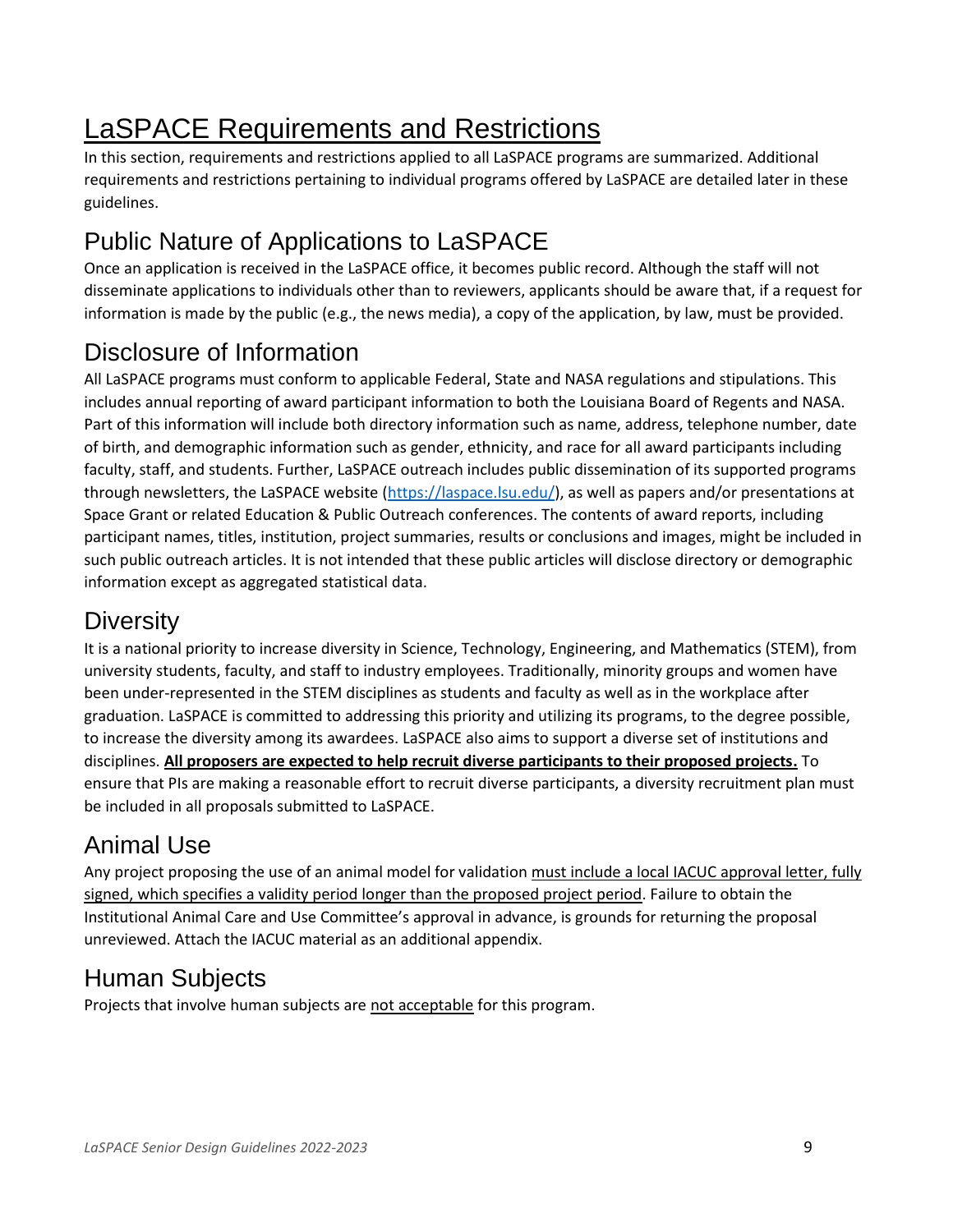# LaSPACE Requirements and Restrictions

In this section, requirements and restrictions applied to all LaSPACE programs are summarized. Additional requirements and restrictions pertaining to individual programs offered by LaSPACE are detailed later in these guidelines.

# Public Nature of Applications to LaSPACE

Once an application is received in the LaSPACE office, it becomes public record. Although the staff will not disseminate applications to individuals other than to reviewers, applicants should be aware that, if a request for information is made by the public (e.g., the news media), a copy of the application, by law, must be provided.

## Disclosure of Information

All LaSPACE programs must conform to applicable Federal, State and NASA regulations and stipulations. This includes annual reporting of award participant information to both the Louisiana Board of Regents and NASA. Part of this information will include both directory information such as name, address, telephone number, date of birth, and demographic information such as gender, ethnicity, and race for all award participants including faculty, staff, and students. Further, LaSPACE outreach includes public dissemination of its supported programs through newsletters, the LaSPACE website [\(https://laspace.lsu.edu/\)](https://laspace.lsu.edu/), as well as papers and/or presentations at Space Grant or related Education & Public Outreach conferences. The contents of award reports, including participant names, titles, institution, project summaries, results or conclusions and images, might be included in such public outreach articles. It is not intended that these public articles will disclose directory or demographic information except as aggregated statistical data.

## **Diversity**

It is a national priority to increase diversity in Science, Technology, Engineering, and Mathematics (STEM), from university students, faculty, and staff to industry employees. Traditionally, minority groups and women have been under-represented in the STEM disciplines as students and faculty as well as in the workplace after graduation. LaSPACE is committed to addressing this priority and utilizing its programs, to the degree possible, to increase the diversity among its awardees. LaSPACE also aims to support a diverse set of institutions and disciplines. **All proposers are expected to help recruit diverse participants to their proposed projects.** To ensure that PIs are making a reasonable effort to recruit diverse participants, a diversity recruitment plan must be included in all proposals submitted to LaSPACE.

## Animal Use

Any project proposing the use of an animal model for validation must include a local IACUC approval letter, fully signed, which specifies a validity period longer than the proposed project period. Failure to obtain the Institutional Animal Care and Use Committee's approval in advance, is grounds for returning the proposal unreviewed. Attach the IACUC material as an additional appendix.

## Human Subjects

Projects that involve human subjects are not acceptable for this program.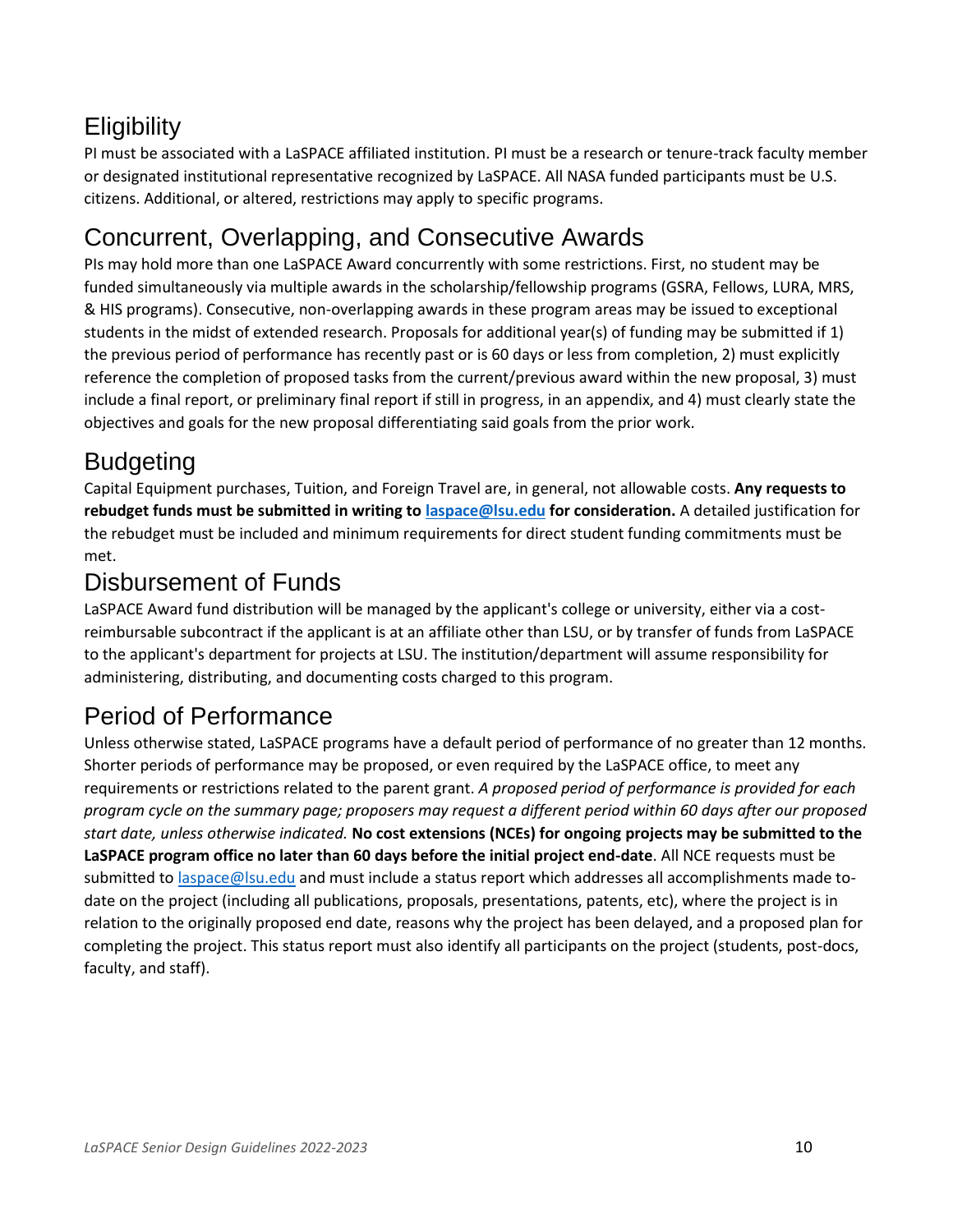## **Eligibility**

PI must be associated with a LaSPACE affiliated institution. PI must be a research or tenure-track faculty member or designated institutional representative recognized by LaSPACE. All NASA funded participants must be U.S. citizens. Additional, or altered, restrictions may apply to specific programs.

## Concurrent, Overlapping, and Consecutive Awards

PIs may hold more than one LaSPACE Award concurrently with some restrictions. First, no student may be funded simultaneously via multiple awards in the scholarship/fellowship programs (GSRA, Fellows, LURA, MRS, & HIS programs). Consecutive, non-overlapping awards in these program areas may be issued to exceptional students in the midst of extended research. Proposals for additional year(s) of funding may be submitted if 1) the previous period of performance has recently past or is 60 days or less from completion, 2) must explicitly reference the completion of proposed tasks from the current/previous award within the new proposal, 3) must include a final report, or preliminary final report if still in progress, in an appendix, and 4) must clearly state the objectives and goals for the new proposal differentiating said goals from the prior work.

# Budgeting

Capital Equipment purchases, Tuition, and Foreign Travel are, in general, not allowable costs. **Any requests to rebudget funds must be submitted in writing to [laspace@lsu.edu](mailto:laspace@lsu.edu) for consideration.** A detailed justification for the rebudget must be included and minimum requirements for direct student funding commitments must be met.

#### Disbursement of Funds

LaSPACE Award fund distribution will be managed by the applicant's college or university, either via a costreimbursable subcontract if the applicant is at an affiliate other than LSU, or by transfer of funds from LaSPACE to the applicant's department for projects at LSU. The institution/department will assume responsibility for administering, distributing, and documenting costs charged to this program.

## Period of Performance

Unless otherwise stated, LaSPACE programs have a default period of performance of no greater than 12 months. Shorter periods of performance may be proposed, or even required by the LaSPACE office, to meet any requirements or restrictions related to the parent grant. *A proposed period of performance is provided for each program cycle on the summary page; proposers may request a different period within 60 days after our proposed start date, unless otherwise indicated.* **No cost extensions (NCEs) for ongoing projects may be submitted to the LaSPACE program office no later than 60 days before the initial project end-date**. All NCE requests must be submitted to [laspace@lsu.edu](mailto:laspace@lsu.edu) and must include a status report which addresses all accomplishments made todate on the project (including all publications, proposals, presentations, patents, etc), where the project is in relation to the originally proposed end date, reasons why the project has been delayed, and a proposed plan for completing the project. This status report must also identify all participants on the project (students, post-docs, faculty, and staff).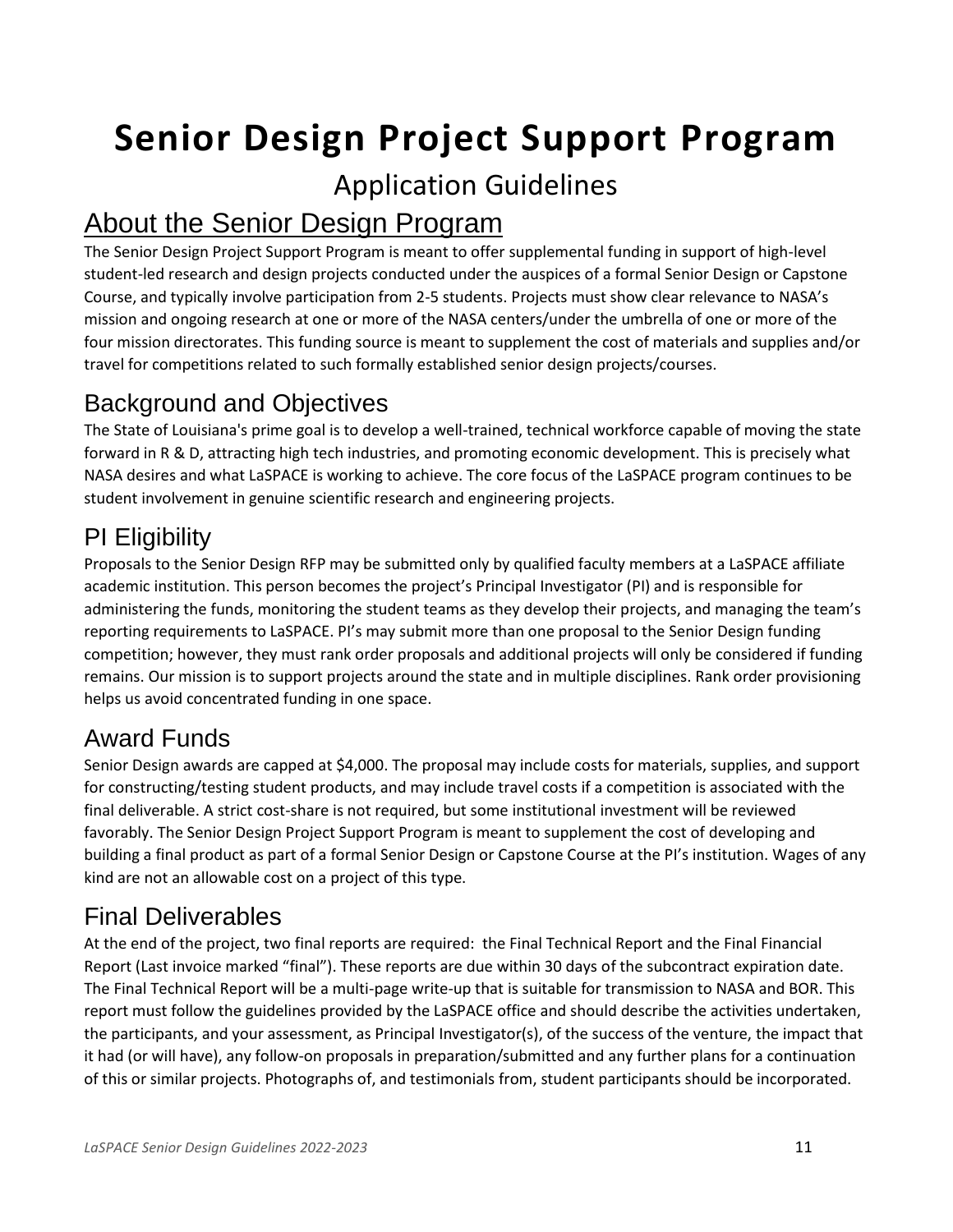# **Senior Design Project Support Program**

## Application Guidelines

# About the Senior Design Program

The Senior Design Project Support Program is meant to offer supplemental funding in support of high-level student-led research and design projects conducted under the auspices of a formal Senior Design or Capstone Course, and typically involve participation from 2-5 students. Projects must show clear relevance to NASA's mission and ongoing research at one or more of the NASA centers/under the umbrella of one or more of the four mission directorates. This funding source is meant to supplement the cost of materials and supplies and/or travel for competitions related to such formally established senior design projects/courses.

#### Background and Objectives

The State of Louisiana's prime goal is to develop a well-trained, technical workforce capable of moving the state forward in R & D, attracting high tech industries, and promoting economic development. This is precisely what NASA desires and what LaSPACE is working to achieve. The core focus of the LaSPACE program continues to be student involvement in genuine scientific research and engineering projects.

## PI Eligibility

Proposals to the Senior Design RFP may be submitted only by qualified faculty members at a LaSPACE affiliate academic institution. This person becomes the project's Principal Investigator (PI) and is responsible for administering the funds, monitoring the student teams as they develop their projects, and managing the team's reporting requirements to LaSPACE. PI's may submit more than one proposal to the Senior Design funding competition; however, they must rank order proposals and additional projects will only be considered if funding remains. Our mission is to support projects around the state and in multiple disciplines. Rank order provisioning helps us avoid concentrated funding in one space.

## Award Funds

Senior Design awards are capped at \$4,000. The proposal may include costs for materials, supplies, and support for constructing/testing student products, and may include travel costs if a competition is associated with the final deliverable. A strict cost-share is not required, but some institutional investment will be reviewed favorably. The Senior Design Project Support Program is meant to supplement the cost of developing and building a final product as part of a formal Senior Design or Capstone Course at the PI's institution. Wages of any kind are not an allowable cost on a project of this type.

## Final Deliverables

At the end of the project, two final reports are required: the Final Technical Report and the Final Financial Report (Last invoice marked "final"). These reports are due within 30 days of the subcontract expiration date. The Final Technical Report will be a multi-page write-up that is suitable for transmission to NASA and BOR. This report must follow the guidelines provided by the LaSPACE office and should describe the activities undertaken, the participants, and your assessment, as Principal Investigator(s), of the success of the venture, the impact that it had (or will have), any follow-on proposals in preparation/submitted and any further plans for a continuation of this or similar projects. Photographs of, and testimonials from, student participants should be incorporated.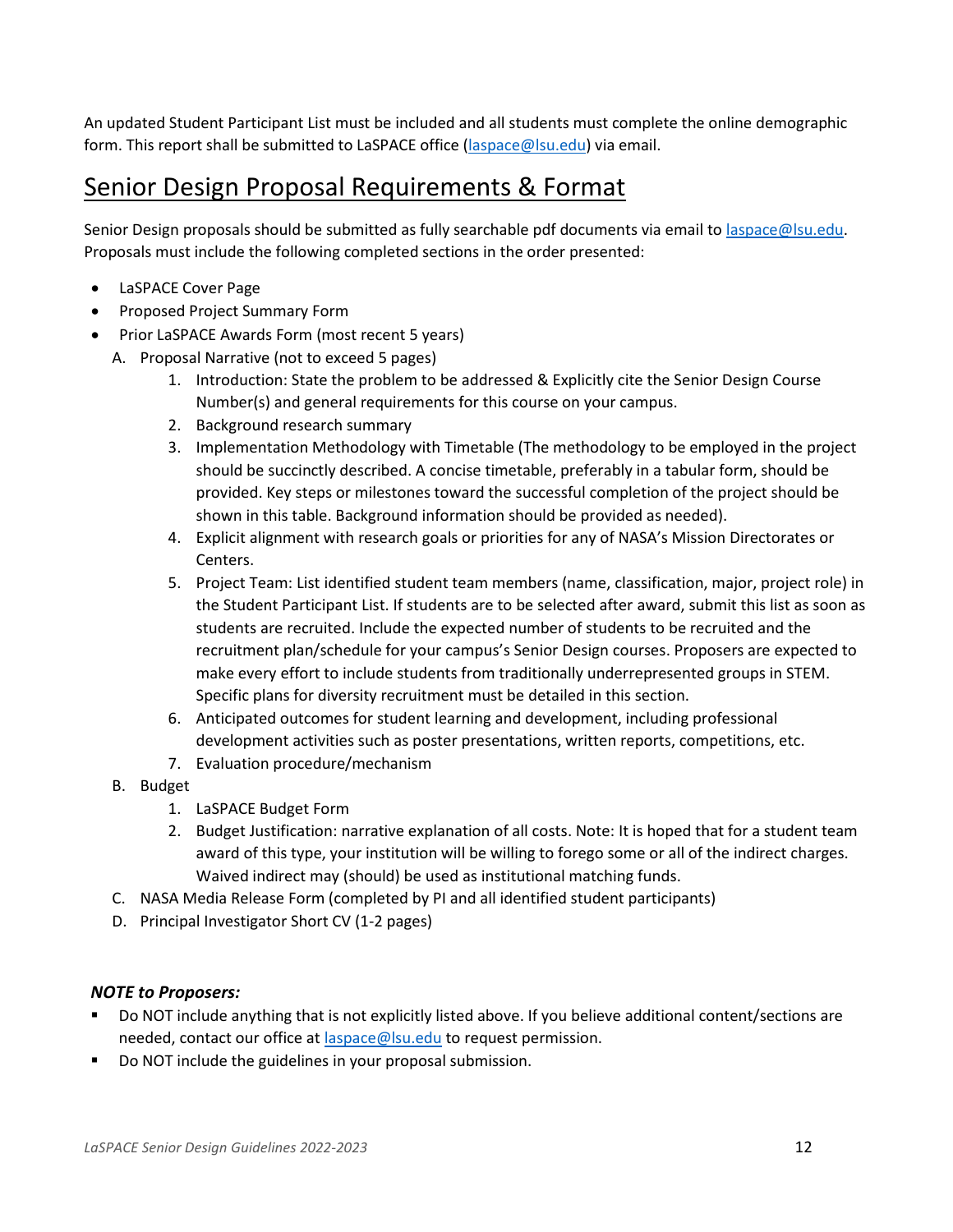An updated Student Participant List must be included and all students must complete the online demographic form. This report shall be submitted to LaSPACE office [\(laspace@lsu.edu\)](mailto:laspace@lsu.edu) via email.

#### Senior Design Proposal Requirements & Format

Senior Design proposals should be submitted as fully searchable pdf documents via email to [laspace@lsu.edu.](mailto:laspace@lsu.edu) Proposals must include the following completed sections in the order presented:

- LaSPACE Cover Page
- Proposed Project Summary Form
- Prior LaSPACE Awards Form (most recent 5 years)
	- A. Proposal Narrative (not to exceed 5 pages)
		- 1. Introduction: State the problem to be addressed & Explicitly cite the Senior Design Course Number(s) and general requirements for this course on your campus.
		- 2. Background research summary
		- 3. Implementation Methodology with Timetable (The methodology to be employed in the project should be succinctly described. A concise timetable, preferably in a tabular form, should be provided. Key steps or milestones toward the successful completion of the project should be shown in this table. Background information should be provided as needed).
		- 4. Explicit alignment with research goals or priorities for any of NASA's Mission Directorates or Centers.
		- 5. Project Team: List identified student team members (name, classification, major, project role) in the Student Participant List. If students are to be selected after award, submit this list as soon as students are recruited. Include the expected number of students to be recruited and the recruitment plan/schedule for your campus's Senior Design courses. Proposers are expected to make every effort to include students from traditionally underrepresented groups in STEM. Specific plans for diversity recruitment must be detailed in this section.
		- 6. Anticipated outcomes for student learning and development, including professional development activities such as poster presentations, written reports, competitions, etc.
		- 7. Evaluation procedure/mechanism
		- B. Budget
			- 1. LaSPACE Budget Form
			- 2. Budget Justification: narrative explanation of all costs. Note: It is hoped that for a student team award of this type, your institution will be willing to forego some or all of the indirect charges. Waived indirect may (should) be used as institutional matching funds.
	- C. NASA Media Release Form (completed by PI and all identified student participants)
	- D. Principal Investigator Short CV (1-2 pages)

#### *NOTE to Proposers:*

- Do NOT include anything that is not explicitly listed above. If you believe additional content/sections are needed, contact our office at [laspace@lsu.edu](mailto:laspace@lsu.edu) to request permission.
- Do NOT include the guidelines in your proposal submission.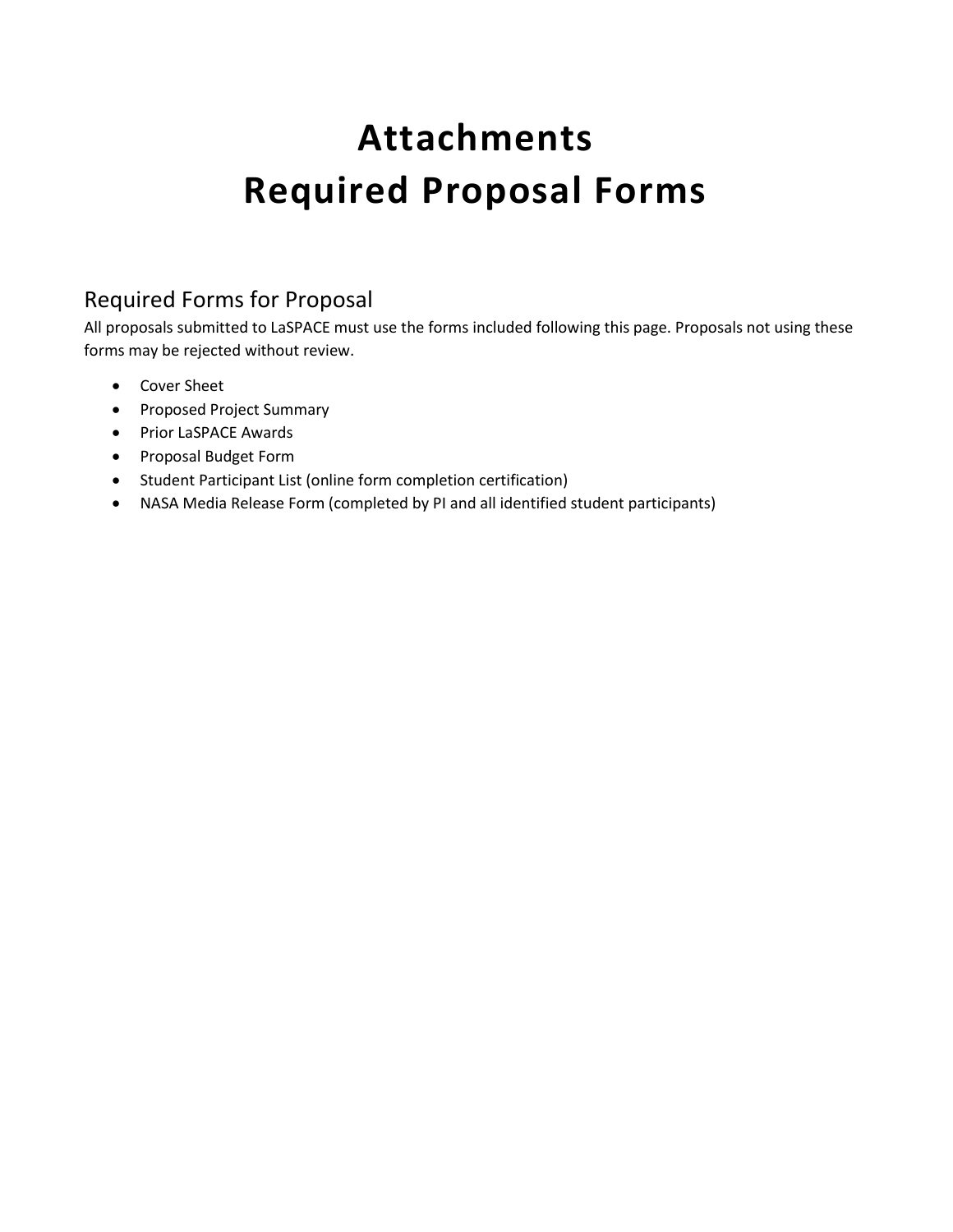# **Attachments Required Proposal Forms**

#### Required Forms for Proposal

All proposals submitted to LaSPACE must use the forms included following this page. Proposals not using these forms may be rejected without review.

- Cover Sheet
- Proposed Project Summary
- Prior LaSPACE Awards
- Proposal Budget Form
- Student Participant List (online form completion certification)
- NASA Media Release Form (completed by PI and all identified student participants)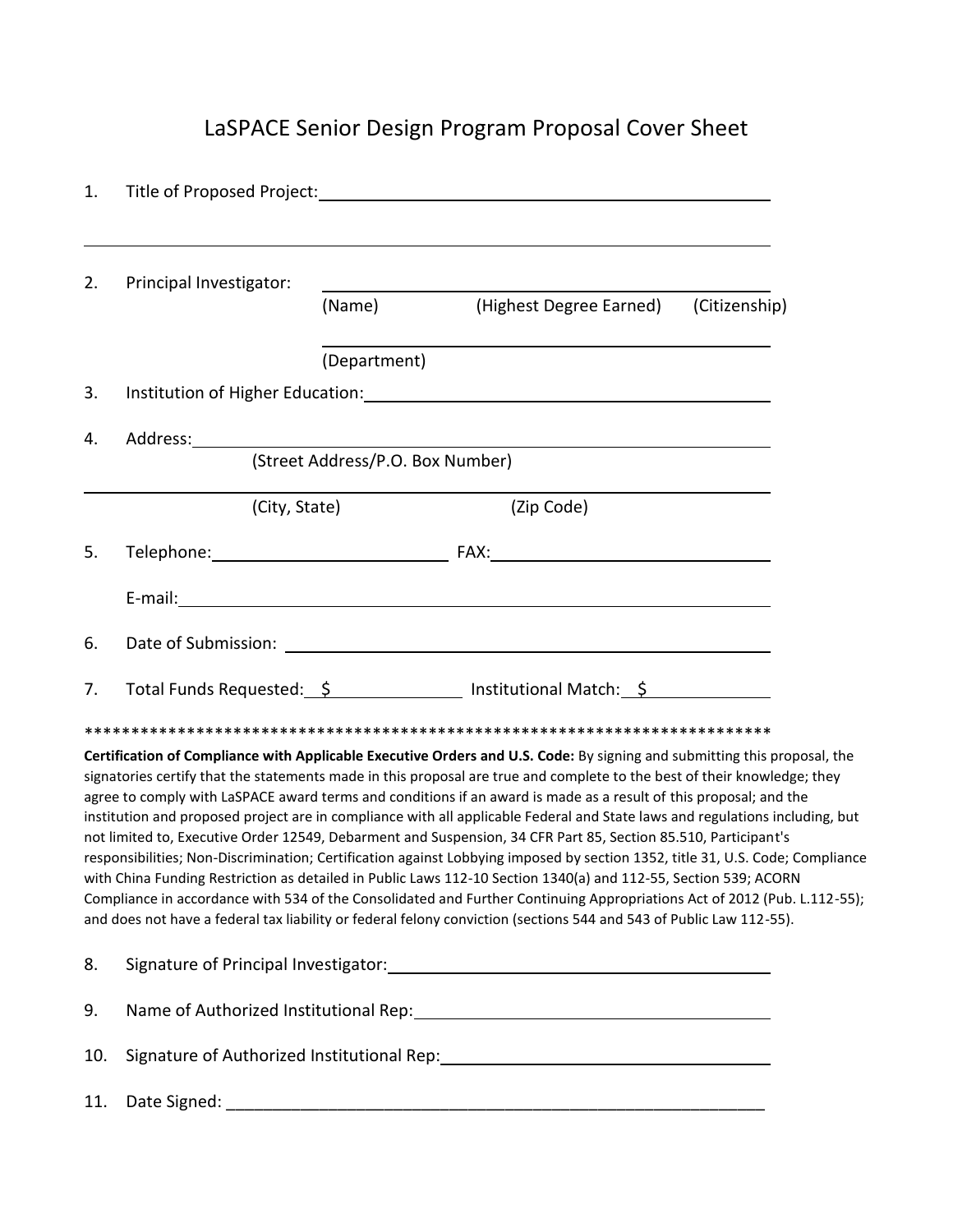# LaSPACE Senior Design Program Proposal Cover Sheet

| 1.  |                         |                                  |                                                                                                                                                                                                                                                                                                                                                                                                                                                                                                                                                                                                                                                                                                                                                                                                                                                                                                                                                                                                                                                                                                                                    |  |
|-----|-------------------------|----------------------------------|------------------------------------------------------------------------------------------------------------------------------------------------------------------------------------------------------------------------------------------------------------------------------------------------------------------------------------------------------------------------------------------------------------------------------------------------------------------------------------------------------------------------------------------------------------------------------------------------------------------------------------------------------------------------------------------------------------------------------------------------------------------------------------------------------------------------------------------------------------------------------------------------------------------------------------------------------------------------------------------------------------------------------------------------------------------------------------------------------------------------------------|--|
| 2.  | Principal Investigator: |                                  |                                                                                                                                                                                                                                                                                                                                                                                                                                                                                                                                                                                                                                                                                                                                                                                                                                                                                                                                                                                                                                                                                                                                    |  |
|     |                         | (Name)                           | (Highest Degree Earned) (Citizenship)                                                                                                                                                                                                                                                                                                                                                                                                                                                                                                                                                                                                                                                                                                                                                                                                                                                                                                                                                                                                                                                                                              |  |
|     |                         | (Department)                     |                                                                                                                                                                                                                                                                                                                                                                                                                                                                                                                                                                                                                                                                                                                                                                                                                                                                                                                                                                                                                                                                                                                                    |  |
| 3.  |                         |                                  | Institution of Higher Education: Manual According to the Control of Higher Education:                                                                                                                                                                                                                                                                                                                                                                                                                                                                                                                                                                                                                                                                                                                                                                                                                                                                                                                                                                                                                                              |  |
| 4.  |                         |                                  |                                                                                                                                                                                                                                                                                                                                                                                                                                                                                                                                                                                                                                                                                                                                                                                                                                                                                                                                                                                                                                                                                                                                    |  |
|     |                         | (Street Address/P.O. Box Number) |                                                                                                                                                                                                                                                                                                                                                                                                                                                                                                                                                                                                                                                                                                                                                                                                                                                                                                                                                                                                                                                                                                                                    |  |
|     | (City, State)           |                                  | (Zip Code)                                                                                                                                                                                                                                                                                                                                                                                                                                                                                                                                                                                                                                                                                                                                                                                                                                                                                                                                                                                                                                                                                                                         |  |
| 5.  |                         |                                  | Telephone: Telephone: Telephone: Telephone: Telephone: Telephone: Telephone: Telephone: Telephone: Telephone: Telephone: Telephone: Telephone: Telephone: Telephone: Telephone: Telephone: Telephone: Telephone: Telephone: Te                                                                                                                                                                                                                                                                                                                                                                                                                                                                                                                                                                                                                                                                                                                                                                                                                                                                                                     |  |
|     |                         |                                  |                                                                                                                                                                                                                                                                                                                                                                                                                                                                                                                                                                                                                                                                                                                                                                                                                                                                                                                                                                                                                                                                                                                                    |  |
| 6.  |                         |                                  |                                                                                                                                                                                                                                                                                                                                                                                                                                                                                                                                                                                                                                                                                                                                                                                                                                                                                                                                                                                                                                                                                                                                    |  |
| 7.  |                         |                                  | Total Funds Requested: \$ 100 mm = 11 mstitutional Match: \$                                                                                                                                                                                                                                                                                                                                                                                                                                                                                                                                                                                                                                                                                                                                                                                                                                                                                                                                                                                                                                                                       |  |
|     |                         |                                  |                                                                                                                                                                                                                                                                                                                                                                                                                                                                                                                                                                                                                                                                                                                                                                                                                                                                                                                                                                                                                                                                                                                                    |  |
|     |                         |                                  | Certification of Compliance with Applicable Executive Orders and U.S. Code: By signing and submitting this proposal, the<br>signatories certify that the statements made in this proposal are true and complete to the best of their knowledge; they<br>agree to comply with LaSPACE award terms and conditions if an award is made as a result of this proposal; and the<br>institution and proposed project are in compliance with all applicable Federal and State laws and regulations including, but<br>not limited to, Executive Order 12549, Debarment and Suspension, 34 CFR Part 85, Section 85.510, Participant's<br>responsibilities; Non-Discrimination; Certification against Lobbying imposed by section 1352, title 31, U.S. Code; Compliance<br>with China Funding Restriction as detailed in Public Laws 112-10 Section 1340(a) and 112-55, Section 539; ACORN<br>Compliance in accordance with 534 of the Consolidated and Further Continuing Appropriations Act of 2012 (Pub. L.112-55);<br>and does not have a federal tax liability or federal felony conviction (sections 544 and 543 of Public Law 112-55). |  |
| 8.  |                         |                                  |                                                                                                                                                                                                                                                                                                                                                                                                                                                                                                                                                                                                                                                                                                                                                                                                                                                                                                                                                                                                                                                                                                                                    |  |
| 9.  |                         |                                  |                                                                                                                                                                                                                                                                                                                                                                                                                                                                                                                                                                                                                                                                                                                                                                                                                                                                                                                                                                                                                                                                                                                                    |  |
| 10. |                         |                                  | Signature of Authorized Institutional Rep: 1997-1997 1997-1998 1997-1998                                                                                                                                                                                                                                                                                                                                                                                                                                                                                                                                                                                                                                                                                                                                                                                                                                                                                                                                                                                                                                                           |  |
| 11. |                         |                                  |                                                                                                                                                                                                                                                                                                                                                                                                                                                                                                                                                                                                                                                                                                                                                                                                                                                                                                                                                                                                                                                                                                                                    |  |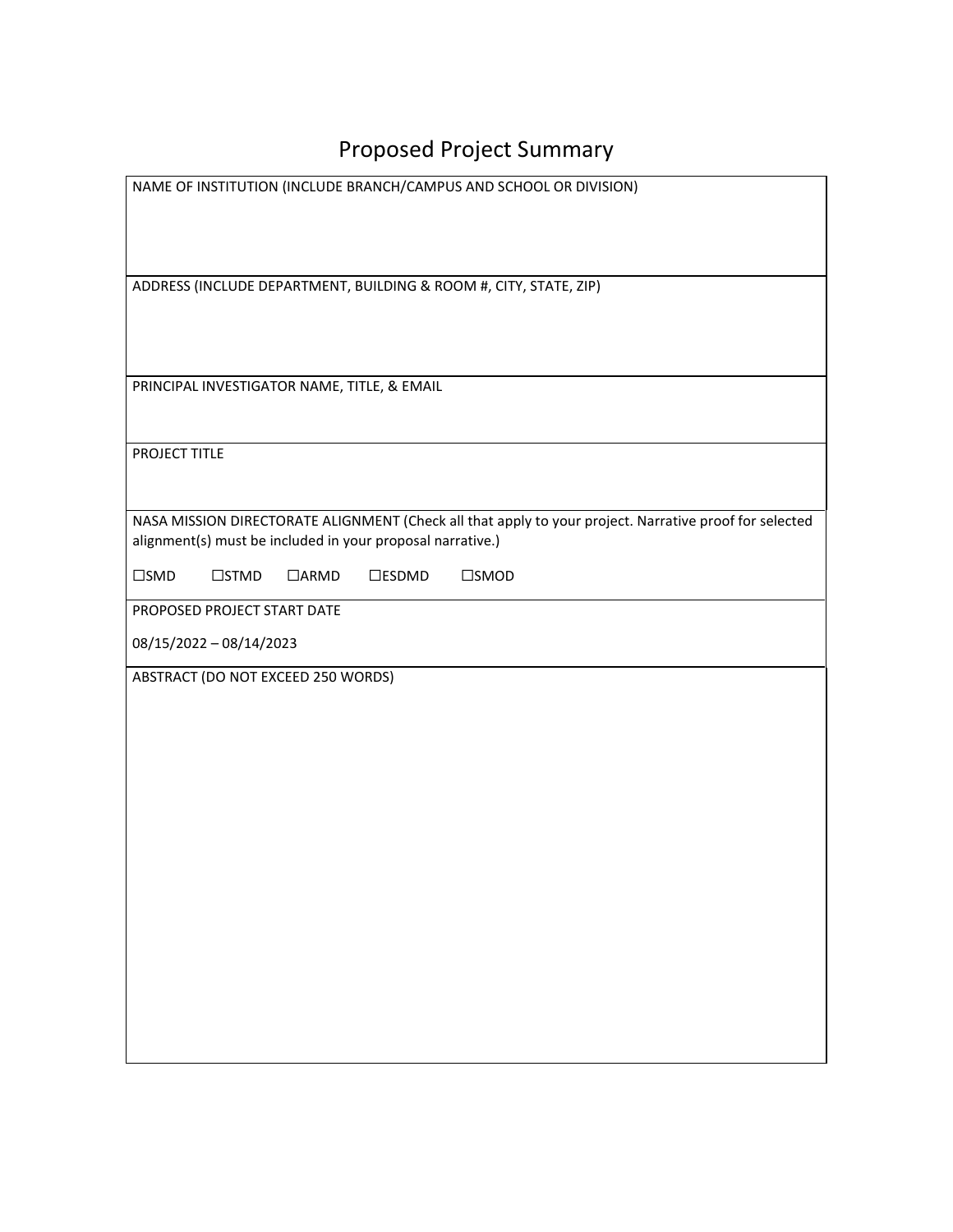# Proposed Project Summary

| NAME OF INSTITUTION (INCLUDE BRANCH/CAMPUS AND SCHOOL OR DIVISION)                                     |
|--------------------------------------------------------------------------------------------------------|
|                                                                                                        |
|                                                                                                        |
|                                                                                                        |
| ADDRESS (INCLUDE DEPARTMENT, BUILDING & ROOM #, CITY, STATE, ZIP)                                      |
|                                                                                                        |
|                                                                                                        |
|                                                                                                        |
| PRINCIPAL INVESTIGATOR NAME, TITLE, & EMAIL                                                            |
|                                                                                                        |
|                                                                                                        |
| PROJECT TITLE                                                                                          |
|                                                                                                        |
| NASA MISSION DIRECTORATE ALIGNMENT (Check all that apply to your project. Narrative proof for selected |
| alignment(s) must be included in your proposal narrative.)                                             |
|                                                                                                        |
| $\square$ SMD<br>$\square$ STMD<br>$\Box$ ARMD<br>$\square$ ESDMD<br>$\square$ SMOD                    |
| PROPOSED PROJECT START DATE                                                                            |
| 08/15/2022 - 08/14/2023                                                                                |
|                                                                                                        |
| ABSTRACT (DO NOT EXCEED 250 WORDS)                                                                     |
|                                                                                                        |
|                                                                                                        |
|                                                                                                        |
|                                                                                                        |
|                                                                                                        |
|                                                                                                        |
|                                                                                                        |
|                                                                                                        |
|                                                                                                        |
|                                                                                                        |
|                                                                                                        |
|                                                                                                        |
|                                                                                                        |
|                                                                                                        |
|                                                                                                        |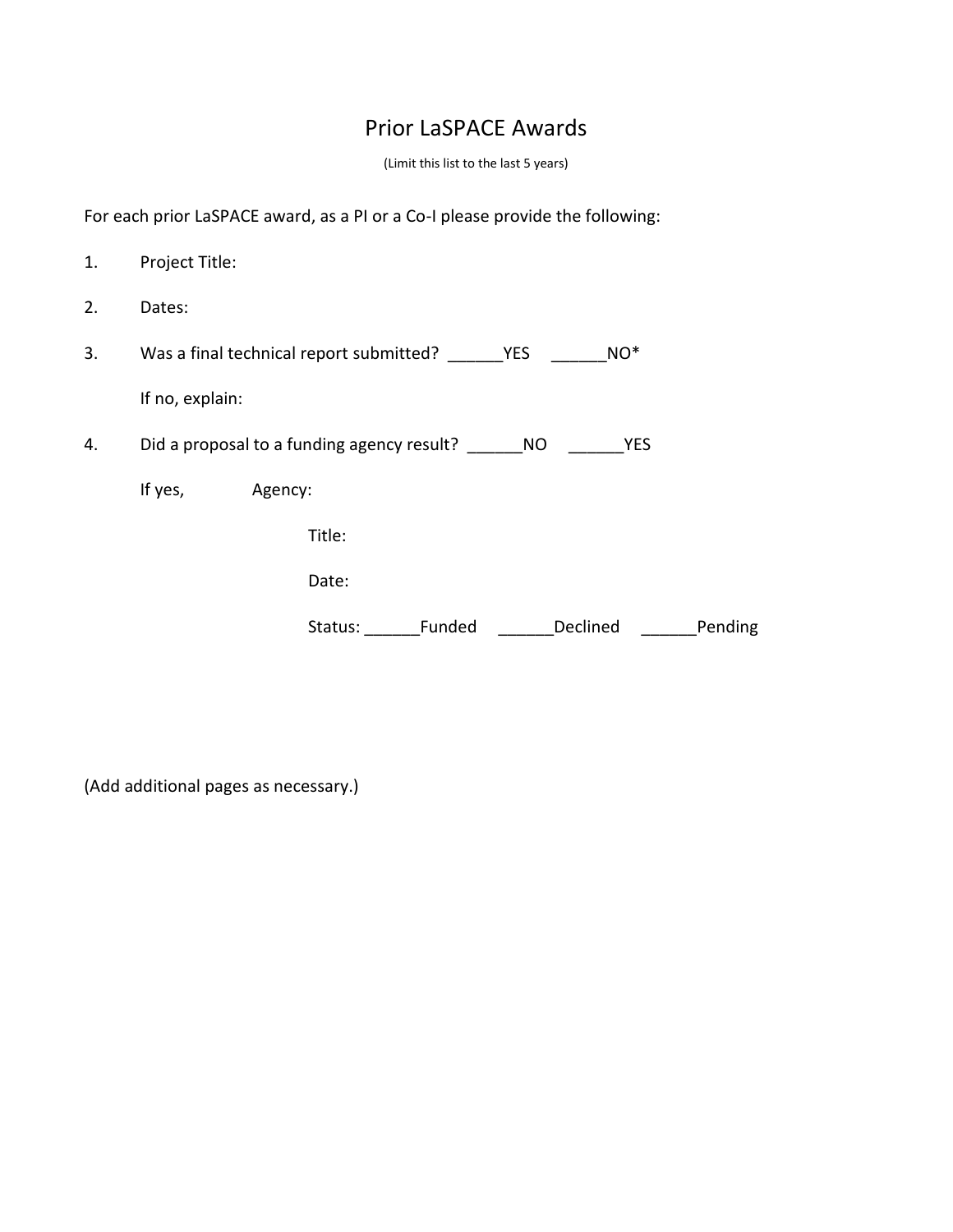#### Prior LaSPACE Awards

(Limit this list to the last 5 years)

For each prior LaSPACE award, as a PI or a Co-I please provide the following:

| 1. | Project Title:                                |         |         |        |            |            |         |
|----|-----------------------------------------------|---------|---------|--------|------------|------------|---------|
| 2. | Dates:                                        |         |         |        |            |            |         |
| 3. | Was a final technical report submitted?       |         |         |        | <b>YES</b> | $NO^*$     |         |
|    | If no, explain:                               |         |         |        |            |            |         |
| 4. | Did a proposal to a funding agency result? NO |         |         |        |            | <b>YES</b> |         |
|    | If yes,                                       | Agency: |         |        |            |            |         |
|    |                                               |         | Title:  |        |            |            |         |
|    |                                               |         | Date:   |        |            |            |         |
|    |                                               |         | Status: | Funded |            | Declined   | Pending |

(Add additional pages as necessary.)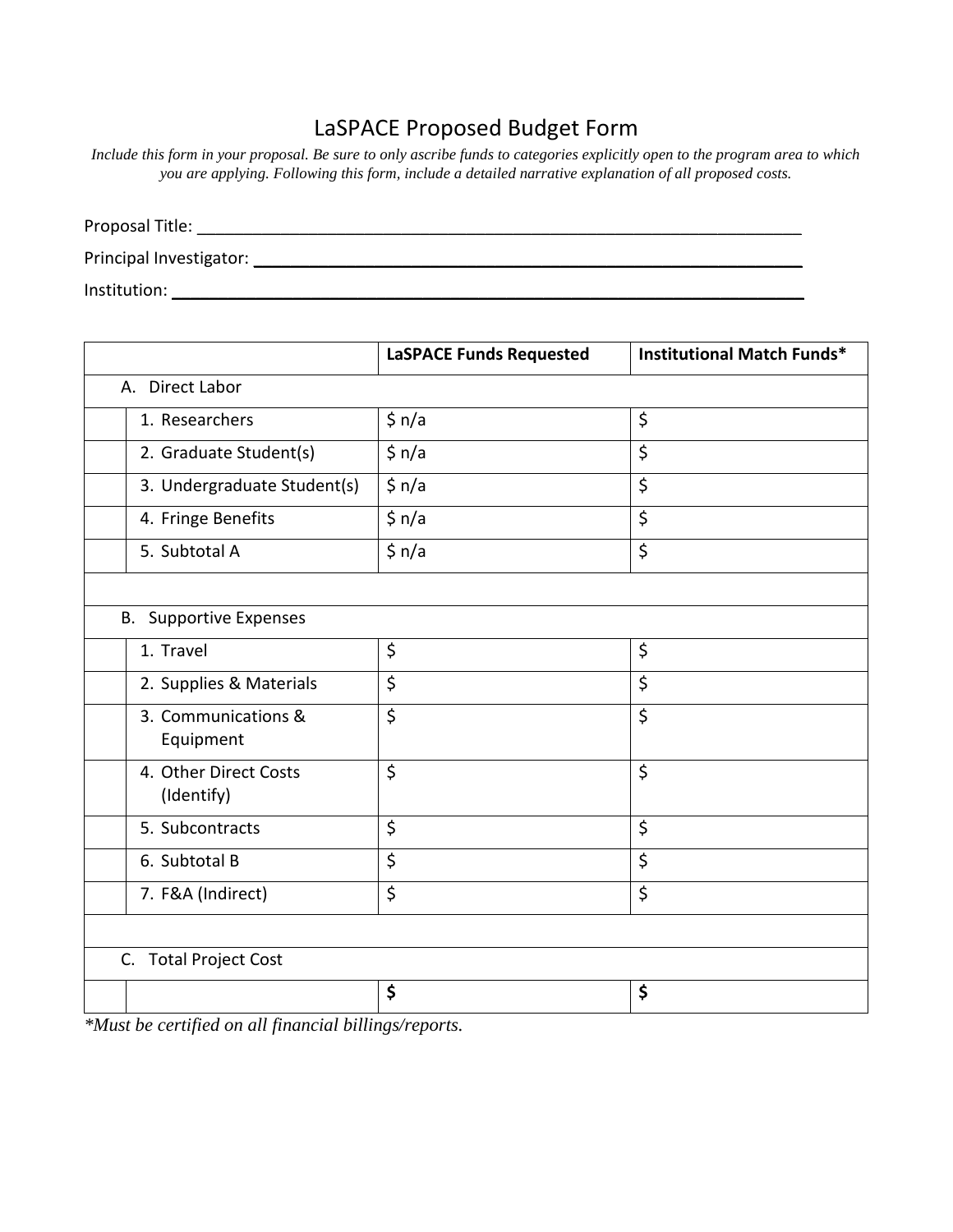#### LaSPACE Proposed Budget Form

*Include this form in your proposal. Be sure to only ascribe funds to categories explicitly open to the program area to which you are applying. Following this form, include a detailed narrative explanation of all proposed costs.* 

| Proposal Title:         |  |  |
|-------------------------|--|--|
| Principal Investigator: |  |  |
| Institution:            |  |  |

|                                                                | <b>LaSPACE Funds Requested</b> | <b>Institutional Match Funds*</b> |  |  |  |
|----------------------------------------------------------------|--------------------------------|-----------------------------------|--|--|--|
| A. Direct Labor                                                |                                |                                   |  |  |  |
| 1. Researchers                                                 | \$ n/a                         | \$                                |  |  |  |
| 2. Graduate Student(s)                                         | \$ n/a                         | \$                                |  |  |  |
| 3. Undergraduate Student(s)                                    | \$ n/a                         | \$                                |  |  |  |
| 4. Fringe Benefits                                             | \$ n/a                         | \$                                |  |  |  |
| 5. Subtotal A                                                  | \$ n/a                         | \$                                |  |  |  |
|                                                                |                                |                                   |  |  |  |
| <b>B.</b> Supportive Expenses                                  |                                |                                   |  |  |  |
| 1. Travel                                                      | \$                             | \$                                |  |  |  |
| 2. Supplies & Materials                                        | \$                             | \$                                |  |  |  |
| 3. Communications &<br>Equipment                               | \$                             | \$                                |  |  |  |
| 4. Other Direct Costs<br>(Identify)                            | \$                             | \$                                |  |  |  |
| 5. Subcontracts                                                | \$                             | \$                                |  |  |  |
| 6. Subtotal B                                                  | \$                             | \$                                |  |  |  |
| 7. F&A (Indirect)                                              | \$                             | \$                                |  |  |  |
|                                                                |                                |                                   |  |  |  |
| C. Total Project Cost                                          |                                |                                   |  |  |  |
|                                                                | \$                             | \$                                |  |  |  |
| $*$ <i>Must</i> be certified on all financial billings/reports |                                |                                   |  |  |  |

*\*Must be certified on all financial billings/reports.*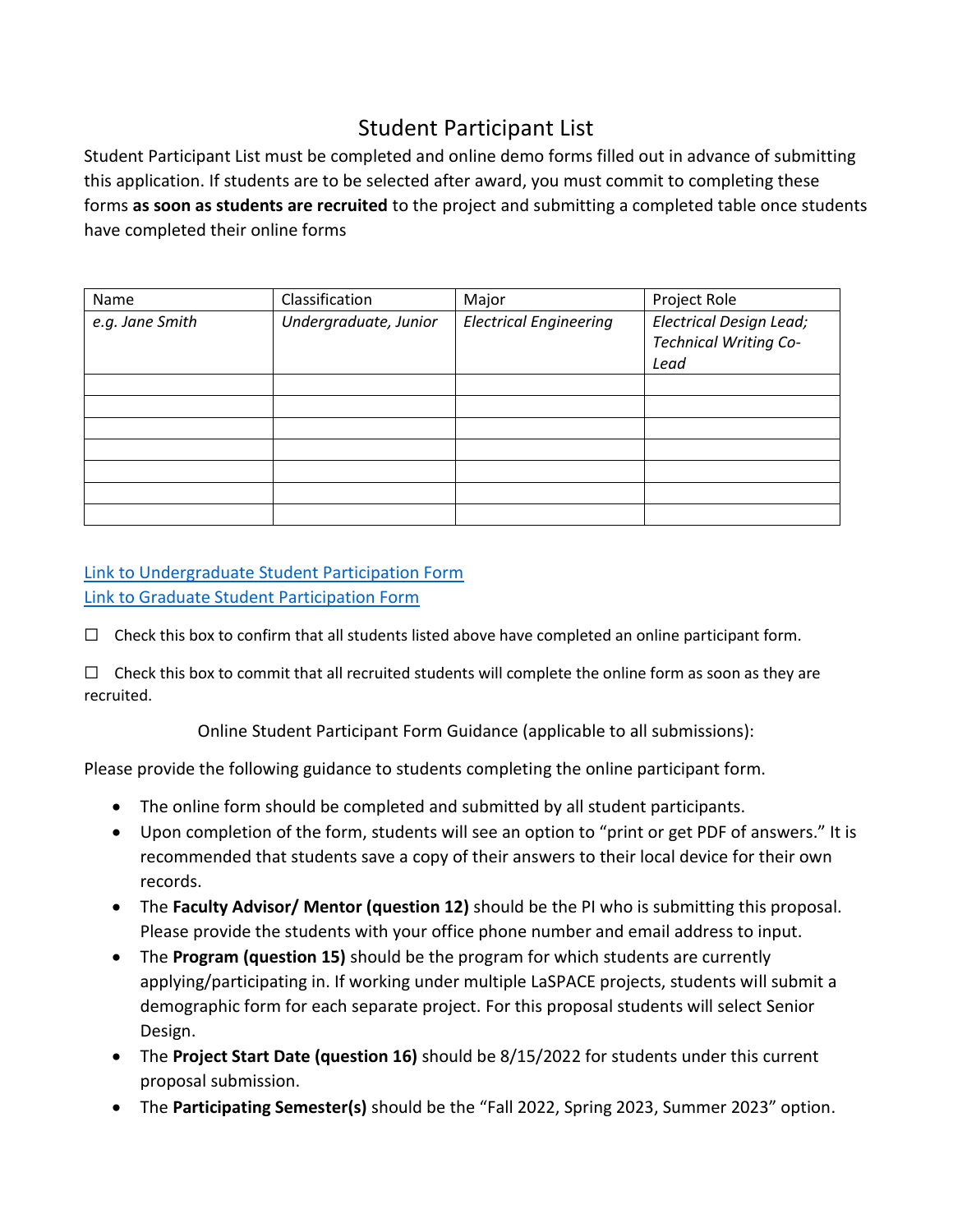#### Student Participant List

Student Participant List must be completed and online demo forms filled out in advance of submitting this application. If students are to be selected after award, you must commit to completing these forms **as soon as students are recruited** to the project and submitting a completed table once students have completed their online forms

| Name            | Classification        | Major                         | Project Role                                                           |
|-----------------|-----------------------|-------------------------------|------------------------------------------------------------------------|
| e.g. Jane Smith | Undergraduate, Junior | <b>Electrical Engineering</b> | <b>Electrical Design Lead;</b><br><b>Technical Writing Co-</b><br>Lead |
|                 |                       |                               |                                                                        |
|                 |                       |                               |                                                                        |
|                 |                       |                               |                                                                        |
|                 |                       |                               |                                                                        |
|                 |                       |                               |                                                                        |
|                 |                       |                               |                                                                        |
|                 |                       |                               |                                                                        |

#### [Link to Undergraduate Student Participation Form](https://forms.office.com/Pages/ResponsePage.aspx?id=P61NLa5Q2UeDoJrisfRm-Lcdp3DY8qtFqI9vQAGwVD5UNVUwU0dFSlg4ME5BNklBWkpIUTBHTkk5RSQlQCN0PWcu) [Link to Graduate Student Participation Form](https://forms.office.com/Pages/ResponsePage.aspx?id=P61NLa5Q2UeDoJrisfRm-Lcdp3DY8qtFqI9vQAGwVD5UM1M1R1paMEU1VTQ5RkY2UVBTUFNBVko5MiQlQCN0PWcu)

 $\Box$  Check this box to confirm that all students listed above have completed an online participant form.

 $\Box$  Check this box to commit that all recruited students will complete the online form as soon as they are recruited.

Online Student Participant Form Guidance (applicable to all submissions):

Please provide the following guidance to students completing the online participant form.

- The online form should be completed and submitted by all student participants.
- Upon completion of the form, students will see an option to "print or get PDF of answers." It is recommended that students save a copy of their answers to their local device for their own records.
- The **Faculty Advisor/ Mentor (question 12)** should be the PI who is submitting this proposal. Please provide the students with your office phone number and email address to input.
- The **Program (question 15)** should be the program for which students are currently applying/participating in. If working under multiple LaSPACE projects, students will submit a demographic form for each separate project. For this proposal students will select Senior Design.
- The **Project Start Date (question 16)** should be 8/15/2022 for students under this current proposal submission.
- The **Participating Semester(s)** should be the "Fall 2022, Spring 2023, Summer 2023" option.